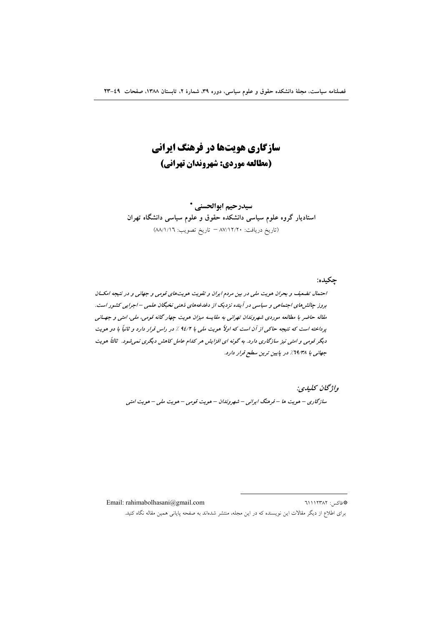سازگاری هویتها در فرهنگ ایرانی (مطالعه موردي: شهروندان تهراني)

سيدرحيم ابوالحسني \* استادیار گروه علوم سیاسی دانشکده حقوق و علوم سیاسی دانشگاه تهران (تاريخ دريافت: ٨٧/١٢/٢٠ = تاريخ تصويب: ٨٨/١/١٦)

چکیده:

احتمال تضعیف و بحران هویت ملی در بین مردم ایران و تقویت هویتهای قومی و جهانی و در نتیجه امکسان بروز جالش های اجتماعی و سیاسی در آینده نزدیک از دغدغههای ذهنی نخبگان علمی – اجرایی کشور است. مقاله حاضر با مطالعه موردی شهروندان تهرانی به مقایسه میزان هویت چهار گانه قومی، ملی، امتی و جهـانی پرداخته است که نتیجه حاکمی از آن است که اولاً هویت ملی با ۹٤/۲ ٪ در راس قرار دارد و ثانیاً با دو هویت دیگر قومی و امتی نیز سازگاری دارد. به گونه ای افزایش هر کدام عامل کاهش دیگری نمی شود. ٹالٹاً هویت جهانی با 14/۳۸٪ در پایین ترین سطح قرار دارد.

> واژىخان كىلىدى: سازگاری – هویت ها – فرهنگ ایرانی – شهروندان – هویت قومی – هویت ملی – هویت امتی

Email: rahimabolhasani@gmail.com \*فاكس: ٦١١٢٣٨٢ برای اطلاع از دیگر مقالات این نویسنده که در این مجله، منتشر شدهاند به صفحه پایانی همین مقاله نگاه کنید.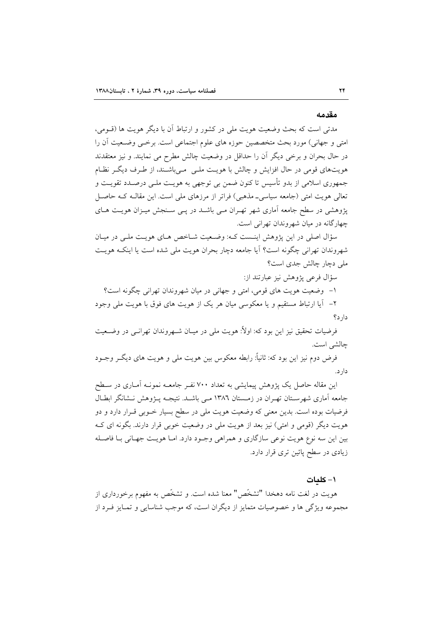#### مقدمه

مدتی است که بحث وضعیت هویت ملی در کشور و ارتباط آن با دیگر هویت ها (قــومی، امتی و جهانی) مورد بحث متخصصین حوزه های علوم اجتماعی است. برخــی وضـعیت آن را در حال بحران و برخی دیگر آن را حداقل در وضعیت چالش مطرح می نمایند. و نیز معتقدند هویتهای قومی در حال افزایش و چالش با هویت ملـی مـیباشـند، از طـرف دیگـر نظـام جمهوري اسلامي از بدو تأسيس تا كنون ضمن بي توجهي به هويـت ملـي درصـدد تقويـت و تعالی هویت امتی (جامعه سیاسی۔مذهبی) فراتر از مرزهای ملی است. این مقالـه کـه حاصـل یژوهشی در سطح جامعه آماری شهر تهـران مـی باشـد در یـی سـنجش میـزان هویـت هـای چهارگانه در میان شهروندان تهرانی است.

سؤال اصلی در این پژوهش اینـست کـه: وضـعیت شـاخص هـای هویـت ملـی در میـان شهروندان تهرانی چگونه است؟ آیا جامعه دچار بحران هویت ملی شده است یا اینکه هویت ملي دچار چالش جدي است؟

سؤال فرعي يؤوهش نيز عبارتند از:

۱– وضعیت هویت های قومی، امتی و جهانی در میان شهروندان تهرانی چگونه است؟ ۲– آیا ارتباط مستقیم و یا معکوسی میان هر یک از هویت های فوق با هویت ملی وجود

 $s_1, s_2$ 

فرضیات تحقیق نیز این بود که: اولاً: هویت ملی در میـان شــهروندان تهرانــی در وضــعیت چالشي است.

فرض دوم نیز این بود که: ثانیاً: رابطه معکوس بین هویت ملَّى و هویت هاى دیگـر وجــود دار د.

این مقاله حاصل یک پژوهش پیمایشی به تعداد ۷۰۰ نفـر جامعـه نمونـه آمـاری در سـطح جامعه آماری شهرسـتان تهـران در زمـستان ١٣٨٦ مـي باشـد. نتيجـه پــژوهش نــشانگر ابطــال فرضیات بوده است. بدین معنی که وضعیت هویت ملی در سطح بسیار خــوبی قــرار دارد و دو هویت دیگر (قومی و امتی) نیز بعد از هویت ملی در وضعیت خوبی قرار دارند. بگونه ای ک بین این سه نوع هویت نوعی سازگاری و همراهی وجـود دارد. امـا هویـت جهـانی بـا فاصـله زیادی در سطح پائین تری قرار دارد.

#### ۱- کلمات

هويت در لغت نامه دهخدا "تشخَّص" معنا شده است. و تشخَّص به مفهوم برخورداري از مجموعه ویژگی ها و خصوصیات متمایز از دیگران است، که موجب شناسایی و تمـایز فـرد از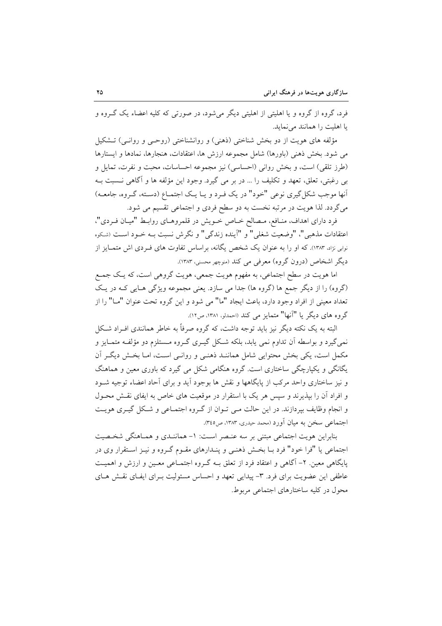فرد، گروه از گروه و یا اهلیتی از اهلیتی دیگر می شود، در صورتی که کلیه اعضاء یک گـروه و یا اهلیت را همانند می نماید.

مؤلفه های هویت از دو بخش شناختی (ذهنی) و روانشناختی (روحـی و روانـی) تـشکیل مي شود. بخش ذهني (باورها) شامل مجموعه ارزش ها، اعتقادات، هنجارها، نمادها و ايستارها (طرز تلقى) است، و بخش روانى (احساسى) نيز مجموعه احساسات، محبت و نفرت، تمايل و بی رغبتی، تعلق، تعهد و تکلیف را … در بر می گیرد. وجود این مؤلفه ها و آگاهی نـسبت بـه أنها موجب شکل گیری نوعی "خود" در یک فـرد و یـا یـک اجتمـاع (دسـته، گـروه، جامعـه) میگردد. لذا هویت در مرتبه نخست به دو سطح فردی و اجتماعی تقسیم می شود.

فرد دارای اهداف، منـافع، مـصالح خــاص خــویش در قلمروهــای روابــط "میــان فــردی"، اعتقادات مذهبي"، "وضعيت شغلي" و "آينده زندگي" و نگرش نسبت بـه خــود اســت (شـكوه نوبی نژاد. ۱۳۸۳). که او را به عنوان یک شخص یگانه، براساس تفاوت های فـردی اش متمـایز از دیگر اشخاص (درون گروه) معرفی می کند (منوچهر محسنی، ۱۳۸۳).

اما هويت در سطح اجتماعي، به مفهوم هويت جمعي، هويت گروهي است، كه يـك جمـع (گروه) را از دیگر جمع ها (گروه ها) جدا می سازد. یعنی مجموعه ویژگی هـایی کـه در یـک تعداد معيني از افراد وجود دارد، باعث ايجاد "ما" مي شود و اين گروه تحت عنوان "مــا" را از گروه های دیگر یا "آنها" متمایز می کند (احمدلو، ۱۳۸۱، ص۱۲).

البته به یک نکته دیگر نیز باید توجه داشت، که گروه صرفاً به خاطر همانندی افـراد شـکل نمي گيرد و بواسطه آن تداوم نمي يابد، بلكه شكل گيــري گــروه مــستلزم دو مؤلفــه متمــايز و مکمل است، یکی بخش محتوایی شامل هماننـد ذهنـی و روانـی اسـت، امـا بخـش دیگـر آن یگانگی و یکپارچگی ساختاری است. گروه هنگامی شکل می گیرد که باوری معین و هماهنگ و نیز ساختاری واحد مرکب از پایگاهها و نقش ها بوجود آید و برای آحاد اعضاء توجیه شـود و افراد آن را بیذیرند و سپس هر یک با استقرار در موقعیت های خاص به ایفای نقش محـول و انجام وظایف بپردازند. در این حالت می توان از گروه اجتمـاعی و شـکل گیـری هویـت اجتماعی سخن به میان آورد (محمد حیدری، ۱۳۸۳، ص۳٤٥).

بنابراین هویت اجتماعی مبتنی بر سه عنصر است: ١- هماننـدی و همـاهنگی شخـصیت اجتماعی یا "فرا خود" فرد بـا بخـش ذهنـی و پنـدارهای مقـوم گـروه و نیـز اسـتقرار وی در یایگاهی معین. ۲- آگاهی و اعتقاد فرد از تعلق بـه گـروه اجتمـاعی معـین و ارزش و اهمیـت عاطفی این عضویت برای فرد. ۳- پیدایی تعهد و احساس مسئولیت بـرای ایفـای نقـش هـای محول در کلیه ساختارهای اجتماعی مربوط.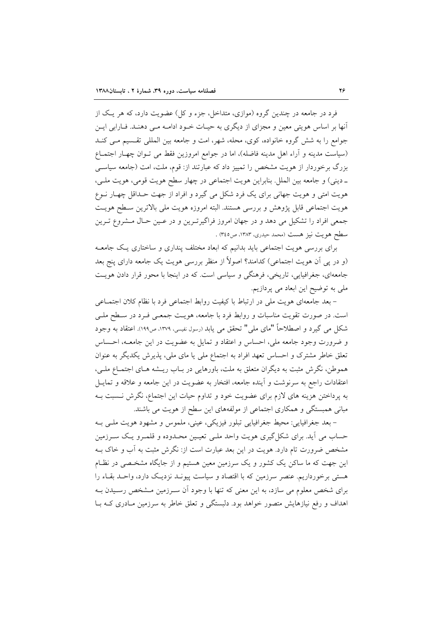فرد در جامعه در چندین گروه (موازی، متداخل، جزء و کل) عضویت دارد، که هر یک از آنها بر اساس هویتی معین و مجزای از دیگری به حیـات خـود ادامـه مـی دهنـد. فـارابی ایـن جوامع را به شش گروه خانواده، کوی، محله، شهر، امت و جامعه بین المللی تقسیم می کنـد (سیاست مدینه و آراء اهل مدینه فاضله)، اما در جوامع امروزین فقط می تـوان چهـار اجتمـاع بزرگ برخوردار از هویت مشخص را تمییز داد که عبارتند از: قوم، ملت، امت (جامعه سیاسبی ـ دینی) و جامعه بین الملل. بنابراین هویت اجتماعی در چهار سطح هویت قومی، هویت ملـی، هویت امتی و هویت جهانی برای یک فرد شکل می گیرد و افراد از جهت حـداقل چهـار نــوع هويت اجتماعي قابل يژوهش و بررسي هستند. البته امروزه هويت ملي بالاترين سـطح هويـت جمعی افراد را تشکیل می دهد و در جهان امروز فراگیرتـرین و در عـین حـال مـشروع تـرین سطح هويت نيز هست (محمد حيدري، ١٣٨٣، ص٣٤٥) .

برای بررسی هویت اجتماعی باید بدانیم که ابعاد مختلف پنداری و ساختاری یک جامعـه (و در پی اَن هویت اجتماعی) کدامند؟ اصولاً از منظر بررسی هویت یک جامعه دارای پنج بعد جامعهای، جغرافیایی، تاریخی، فرهنگی و سیاسی است. که در اینجا با محور قرار دادن هویت ملی به توضیح این ابعاد می پردازیم.

- بعد جامعهای هویت ملی در ارتباط با کیفیت روابط اجتماعی فرد با نظام کلان اجتمـاعی است. در صورت تقویت مناسبات و روابط فرد با جامعه، هویـت جمعـی فـرد در سـطح ملـی شکل می گیرد و اصطلاحاً "مای ملی" تحقق می یابد (رسول نفیسی، ۱۳۷۹، ص۱۹۹). اعتقاد به وجود و ضرورت وجود جامعه ملی، احساس و اعتقاد و تمایل به عضویت در این جامعــه، احــساس تعلق خاطر مشترک و احساس تعهد افراد به اجتماع ملی یا مای ملی، پذیرش یکدیگر به عنوان هموطن، نگرش مثبت به دیگران متعلق به ملت، باورهایی در بـاب ریــشه هـای اجتمـاع ملـی، اعتقادات راجع به سرنوشت و آینده جامعه، افتخار به عضویت در این جامعه و علاقه و تمایــل به پرداختن هزینه های لازم برای عضویت خود و تداوم حیات این اجتماع، نگرش نـسبت بـه مبانی همبستگی و همکاری اجتماعی از مولفههای این سطح از هویت می باشند.

– بعد جغرافیایی: محیط جغرافیایی تبلور فیزیکی، عینی، ملموس و مشهود هویت ملبی بـه حساب مي آيد. براي شکل گيري هويت واحد ملـي تعيـين محـدوده و قلمـرو يـک سـرزمين مشخص ضرورت تام دارد. هویت در این بعد عبارت است از: نگرش مثبت به آب و خاک بـه این جهت که ما ساکن یک کشور و یک سرزمین معین هستیم و از جایگاه مشخـصی در نظـام هستی برخورداریم. عنصر سرزمین که با اقتصاد و سیاست پیونـد نزدیـک دارد، واحـد بقـاء را برای شخص معلوم می سازد، به این معنی که تنها با وجود آن سـرزمین مــشخص رسـیدن بــه اهداف و رفع نیازهایش متصور خواهد بود. دلبستگی و تعلق خاطر به سرزمین مـادری کـه بـا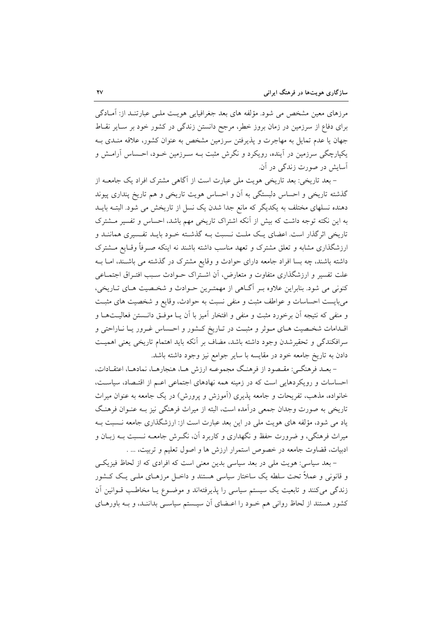مرزهای معین مشخص می شود. مؤلفه های بعد جغرافیایی هویت ملـی عبارتنـد از: آمـادگی برای دفاع از سرزمین در زمان بروز خطر، مرجح دانستن زندگی در کشور خود بر سـایر نقـاط جهان یا عدم تمایل به مهاجرت و پذیرفتن سرزمین مشخص به عنوان کشور، علاقه منـدی بـه یکپارچگی سرزمین در آینده، رویکرد و نگرش مثبت بـه سـرزمین خـود، احـساس آرامـش و آسایش در صورت زندگی در آن.

– بعد تاریخی: بعد تاریخی هویت ملی عبارت است از آگاهی مشترک افراد یک جامعـه از گذشته تاریخی و احساس دلبستگی به آن و احساس هویت تاریخی و هم تاریخ پنداری پیوند دهنده نسلهای مختلف به یکدیگر که مانع جدا شدن یک نسل از تاریخش می شود. البتـه بایــد به این نکته توجه داشت که بیش از آنکه اشتراک تاریخی مهم باشد، احساس و تفسیر مــشترک تاریخی اثرگذار است. اعضای یـک ملـت نــسبت بــه گذشــته خــود بایــد تفــسیری هماننــد و ارزشگذاری مشابه و تعلق مشترک و تعهد مناسب داشته باشند نه اینکه صـرفاً وقـایع مــشترک داشته باشند، چه بسا افراد جامعه دارای حوادث و وقایع مشترک در گذشته می باشـند، امــا بــه علت تفسیر و ارزشگذاری متفاوت و متعارض، آن اشتراک حـوادث سـبب افتـراق اجتمـاعی کنونی می شود. بنابراین علاوه بـر آگـاهی از مهمتـرین حـوادث و شخـصیت هـای تـاریخی، میبایست احساسات و عواطف مثبت و منفی نسبت به حوادث، وقایع و شخصیت های مثبت و منفي كه نتيجه أن برخورد مثبت و منفي و افتخار أميز با أن يـا موفــق دانــستن فعاليــتهــا و اقـدامات شخـصيت هـاي مـوثر و مثبـت در تـاريخ كـشور و احـساس غـرور يـا نـاراحتى و سرافكندگي و تحقيرشدن وجود داشته باشد، مضاف بر آنكه بايد اهتمام تاريخي يعني اهميت دادن به تاریخ جامعه خود در مقایسه با سایر جوامع نیز وجود داشته باشد.

- بعـد فرهنگـي: مقـصود از فرهنـگ مجموعــه ارزش هــا، هنجارهــا، نمادهــا، اعتقــادات، احساسات و رویکردهایی است که در زمینه همه نهادهای اجتماعی اعـم از اقتـصاد، سیاسـت، خانواده، مذهب، تفریحات و جامعه پذیری (آموزش و پرورش) در یک جامعه به عنوان میراث تاریخی به صورت وجدان جمعی درآمده است، البته از میراث فرهنگی نیز بـه عنـوان فرهنـگ یاد می شود، مؤلفه های هویت ملی در این بعد عبارت است از: ارزشگذاری جامعه نـسبت بـه میراث فرهنگی، و ضرورت حفظ و نگهداری و کاربرد آن، نگیرش جامعیه نسبت بیه زبیان و ادبیات، قضاوت جامعه در خصوص استمرار ارزش ها و اصول تعلیم و تربیت، ... .

– بعد سیاسی: هویت ملی در بعد سیاسی بدین معنی است که افرادی که از لحاظ فیزیکـی و قانونی و عملاً تحت سلطه یک ساختار سیاسی هستند و داخـل مرزهـای ملـی یـک کــشور زندگی میکنند و تابعیت یک سیستم سیاسی را پذیرفتهاند و موضـوع یـا مخاطـب قــوانین آن کشور هستند از لحاظ روانی هم خـود را اعـضای آن سیـستم سیاسـی بداننـد، و بـه باورهـای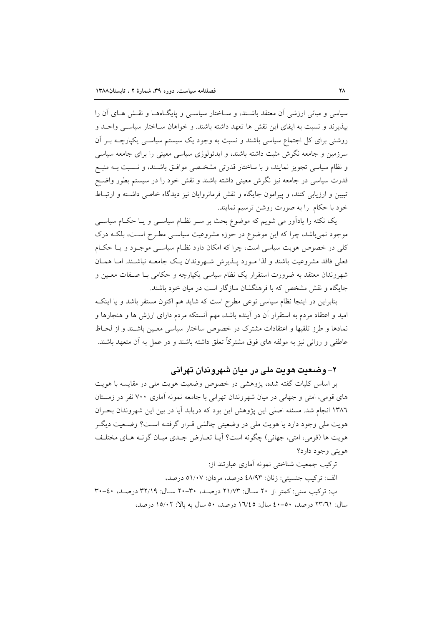سیاسی و مبانی ارزشی آن معتقد باشـند، و سـاختار سیاسـی و پایگـاههـا و نقـش هـای آن را بيذيرند و نسبت به ايفاي اين نقش ها تعهد داشته باشند. و خواهان ســاختار سياســي واحــد و روشنی برای کل اجتماع سیاسی باشند و نسبت به وجود یک سیستم سیاسـی یکپارچــه بــر آن سرزمین و جامعه نگرش مثبت داشته باشند، و ایدئولوژی سیاسی معینی را برای جامعه سیاسی و نظام سیاسی تجویز نمایند، و با ساختار قدرتی مشخصی موافتی باشـند، و نـسبت بـه منبـع قدرت سیاسی در جامعه نیز نگرش معینی داشته باشند و نقش خود را در سیستم بطور واضـح تبیین و ارزیابی کنند، و پیرامون جایگاه و نقش فرمانروایان نیز دیدگاه خاصی داشته و ارتباط خود با حکام را به صورت روشن ترسیم نمایند.

یک نکته را یادآور می شویم که موضوع بحث بر سـر نظـام سیاسـی و یـا حکـام سیاسـی موجود نمی باشد، چرا که این موضوع در حوزه مشروعیت سیاســی مطـرح اسـت، بلکـه درک کلی در خصوص هویت سیاسی است، چرا که امکان دارد نظـام سیاسـی موجـود و یـا حکـام فعلمی فاقد مشروعیت باشند و لذا مـورد پـذیرش شـهروندان یـک جامعـه نباشـند. امـا همـان شهروندان معتقد به ضرورت استقرار یک نظام سیاسی یکپارچه و حکامی بـا صـفات معـین و جایگاه و نقش مشخص که با فرهنگشان سازگار است در میان خود باشند.

بنابراین در اینجا نظام سیاسی نوعی مطرح است که شاید هم اکنون مستقر باشد و یا اینک امید و اعتقاد مردم به استقرار آن در آینده باشد، مهم آنستکه مردم دارای ارزش ها و هنجارها و نمادها و طرز تلقیها و اعتقادات مشترک در خصوص ساختار سیاسی معـین باشـند و از لحـاظ عاطفي و رواني نيز به مولِّفه هاي فوق مشتركاً تعلق داشته باشند و در عمل به آن متعهد باشند.

# ۲– وضعیت هویت ملی در میان شهروندان تهرانی

بر اساس كليات گفته شده، پژوهشي در خصوص وضعيت هويت ملي در مقايسه با هويت های قومی، امتی و جهانی در میان شهروندان تهرانی با جامعه نمونه آماری ۷۰۰ نفر در زمستان ١٣٨٦ انجام شد. مسئله اصلي اين يؤوهش اين بود كه دريابد آيا در بين اين شهروندان بحيران هويت ملي وجود دارد يا هويت ملي در وضعيتي چالشي قـرار گرفتــه اســت؟ وضــعيت ديگــر هويت ها (قومي، امتى، جهاني) چگونه است؟ آيــا تعــارض جــدى ميــان گونــه هــاى مختلــف هويتي وجود دارد؟

ترکیب جمعیت شناختی نمونه آماری عبارتند از: الف: تركيب جنسيتي: زنان: ٤٨/٩٣ درصد، مردان: ٥١/٠٧ درصد، ب: ترکیب سنی: کمتر از ۲۰ سـال: ۲۱/۷۳ درصـد، ۳۰-۲۰ سـال: ۳۲/۱۹ درصـد، ٤٠-۳۰ سال: ٢٣/٦١ درصد، ٥٠-٤٠ سال: ١٦/٤٥ درصد، ٥٠ سال به بالا: ١٥/٠٢ درصد،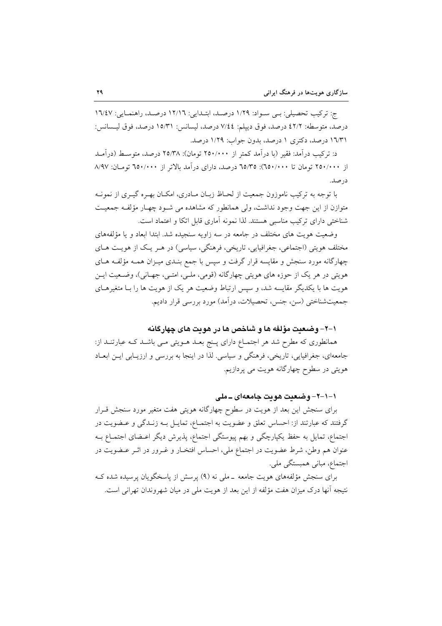ج: تركيب تحصيلي: بي سـواد: ١/٢٩ درصـله، ابتـدايي: ١٢/١٦ درصـله، راهنمـايي: ١٦/٤٧ درصد، متوسطه: ٤٢/٢ درصد، فوق دييلم: ٧/٤٤ درصد، ليسانس: ١٥/٣١ درصد، فوق ليسانس: ۱٦/٣١ درصد، دکتری ١ درصد، بدون جواب: ١/٢٩ درصد.

د: ترکیب در آمد: فقیر (با در آمد کمتر از ۲۵۰/۰۰۰ تومان): ۲۵/۳۸ درصد، متوسط (در آمــد از ۲۵۰/۰۰۰ تومان تا ۲۵۰/۰۰۰): ۳۵/۳۵ درصد، دارای در آمد بالاتر از ۲۵۰/۰۰۰ تومان: ۸/۹۷ در صد.

با توجه به ترکیب ناموزون جمعیت از لحـاظ زبـان مـادری، امکـان بهـره گیـری از نمونـه متوازن از این جهت وجود نداشت، ولی همانطور که مشاهده می شـود چهـار مؤلفـه جمعیـت شناختی دارای ترکیب مناسبی هستند. لذا نمونه آماری قابل اتکا و اعتماد است.

وضعیت هویت های مختلف در جامعه در سه زاویه سنجیده شد. ابتدا ابعاد و یا مؤلفههای مختلف هويتي (اجتماعي، جغرافيايي، تاريخي، فرهنگي، سياسي) در هـر يـک از هويـت هـاي چهارگانه مورد سنجش و مقایسه قرار گرفت و سپس با جمع بنـدی میـزان همـه مؤلفـه هـای هویتی در هر یک از حوزه های هویتی چهارگانه (قومی، ملـی، امتـی، جهـانی)، وضـعیت ایــن هویت ها با یکدیگر مقایسه شد، و سپس ارتباط وضعیت هر یک از هویت ها را بـا متغیرهـای جمعیتشناختی (سن، جنس، تحصیلات، درآمد) مورد بررسی قرار دادیم.

### ١-٢- وضعيت مؤلفه ها و شاخص ها در هويت هاى چهارگانه

همانطوری که مطرح شد هر اجتمــاع دارای پــنج بعــد هــویتی مــی باشــد کــه عبارتنــد از: جامعهای، جغرافیایی، تاریخی، فرهنگی و سیاسی. لذا در اینجا به بررسی و ارزیـابی ایــن ابعــاد هویتی در سطوح چهارگانه هویت می پردازیم.

## ۱–۱–۲– وضعت هويت جامعهاي ــ ملي

برای سنجش این بعد از هویت در سطوح چهارگانه هویتی هفت متغیر مورد سنجش قــرار گرفتند که عبارتند از: احساس تعلق و عضویت به اجتمـاع، تمایـل بــه زنــدگی و عــضویت در اجتماع، تمایل به حفظ یکپارچگی و بهم پیوستگی اجتماع، پذیرش دیگر اعـضای اجتمـاع بــه عنوان هم وطن، شرط عضویت در اجتماع ملی، احساس افتخـار و غـرور در اثـر عـضویت در اجتماع، مبانی همبستگی ملی.

برای سنجش مؤلفههای هویت جامعه \_ملی نه (۹) پرسش از پاسخگویان پرسیده شده ک نتيجه أنها درك ميزان هفت مؤلَّفه از اين بعد از هويت ملَّى در ميان شهروندان تهراني است.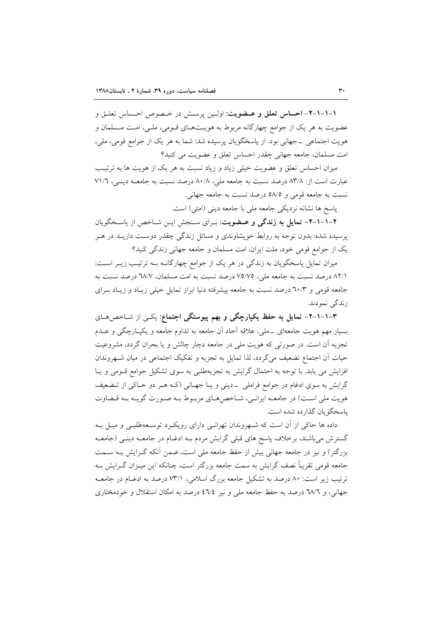١-١-١-٢- احساس تعلق و عـضويت: اولـين يرسـش در خـصوص احـساس تعلـق و عضویت به هر یک از جوامع چهارگانه مربوط به هویـتهـای قـومی، ملـی، امـت مـسلمان و هويت اجتماعي \_ جهاني بود. از پاسخگويان پرسيده شد: شما به هر يک از جوامع قومي، ملي، امت مسلمان، جامعه جهاني چقدر احساس تعلق و عضويت مي كنيد؟

میزان احساس تعلق و عضویت خیلی زیاد و زیاد نسبت به هر یک از هویت ها به ترتیب عبارت است از: ٨٣/٨ درصد نسبت به جامعه ملي، ٨٠/٨ درصد نسبت به جامعـه دينـي، ٧١/٦ نسبت به جامعه قومي و ٥٨/٥ درصد نسبت به جامعه جهاني.

ياسخ ها نشانه نزديكي جامعه ملي با جامعه ديني (امتى) است.

۲-۱-۱-۲- تمایل به زندگی و عـضویت: بـرای سـنجش ایـن شـاخص از پاسـخگویان پرسیده شده: بدون توجه به روابط خویشاوندی و مسائل زندگی چقدر دوست داریــد در هــر یک از جوامع قومی خود، ملت ایران، امت مسلمان و جامعه جهانی زندگی کنید؟

میزان تمایل پاسخگویان به زندگی در هر یک از جوامع چهارگانـه بـه ترتیـب زیـر اسـت: ٨٢/١ درصد نسبت به جامعه ملي، ٧٥/٧٥ درصد نسبت به امت مسلمان، ٦٨/٧ درصد نسبت به جامعه قومی و ٦٠/٣ درصد نسبت به جامعه پیشرفته دنیا ابراز تمایل خیلی زیـاد و زیـاد بـرای زندگي نمودند.

۳–۱–۱–۲– تمایل به حفظ یکپارچگی و بهم پیوستگی اجتماع: یکـی از شــاخص۵ــای بسيار مهم هويت جامعهاي \_ملي، علاقه اَحاد اَن جامعه به تداوم جامعه و يكيـارچگي و عــدم تجزیه آن است. در صورتی که هویت ملی در جامعه دچار چالش و یا بحران گردد، مشروعیت حیات آن اجتماع تضعیف می گردد، لذا تمایل به تجزیه و تفکیک اجتماعی در میان شـهروندان افزایش می یابد. با توجه به احتمال گرایش به تجزیهطلبی به سوی تشکیل جوامع قـومی و یـا گرایش به سوی ادغام در جوامع فراملی \_دینی و یــا جهــانی (کــه هــر دو حــاکی از تــضعیف هويت ملي است) در جامعـه ايرانـي، شـاخص هـاي مربـوط بـه صـورت گويـه بـه قـضاوت باسخگو بان گذارده شده است.

داده ها حاکی از آن است که شـهروندان تهرانـی دارای رویکـرد توسـعهطلبـی و میـل بـه گسترش میباشند، برخلاف پاسخ های قبلی گرایش مردم بـه ادغـام در جامعـه دینـی (جامعـه بزرگتر) و نیز در جامعه جهانی بیش از حفظ جامعه ملی است، ضمن آنکه گــرایش بــه ســمت جامعه قومی تقریباً نصف گرایش به سمت جامعه بزرگتر است، چنانکه این میـزان گـرایش بـه ترتیب زیر است: ۸۰ درصد به تشکیل جامعه بزرگ اسلامی، ۷۳/۱ درصد به ادغـام در جامعـه جهانی، و ٦٨/٦ درصد به حفظ جامعه ملي و نيز ٤٦/٤ درصد به امکان استقلال و خودمختاري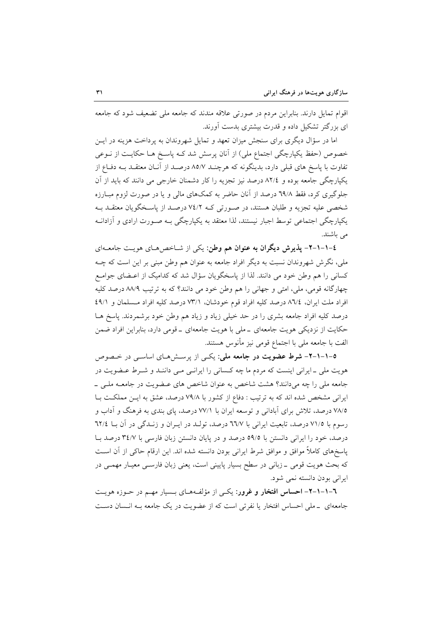اقوام تمایل دارند. بنابراین مردم در صورتی علاقه مندند که جامعه ملی تضعیف شود که جامعه ای بزرگتر تشکیل داده و قدرت بیشتری بدست آورند.

اما در سؤال دیگری برای سنجش میزان تعهد و تمایل شهروندان به پرداخت هزینه در ایــن خصوص (حفظ یکپارچگی اجتماع ملی) از آنان پرسش شد کـه پاسـخ هـا حکایـت از نــوعی تفاوت با یاسخ های قبلی دارد، بدینگونه که هرچنـد ۸۵/۷ درصـد از آنـان معتقـد بـه دفـاع از یکپارچگی جامعه بوده و ۸۲/٤ درصد نیز تجزیه را کار دشمنان خارجی می دانند که باید از آن جلوگیری کرد، فقط ٦٩/٨ درصد از آنان حاضر به کمکهای مالی و یا در صورت لزوم مبـارزه شخصی علیه تجزیه و طلبان هستند، در صـورتی کـه ٧٤/٢ درصـد از پاسـخگویان معتقـد بـه یکپارچگی اجتماعی توسط اجبار نیستند، لذا معتقد به یکپارچگی بـه صـورت ارادی و آزادانـه می باشند.

٤-١-١-٢- پذيرش ديگران به عنوان هم وطن: يكي از شـاخصهـاي هويـت جامعـهاي ملی، نگرش شهروندان نسبت به دیگر افراد جامعه به عنوان هم وطن مبنی بر این است که چــه کسانی را هم وطن خود می دانند. لذا از پاسخگویان سؤال شد که کدامیک از اعـضای جوامـع چهارگانه قومي، ملي، امتي و جهاني را هم وطن خود مي دانند؟ كه به ترتيب ٨٨/٩ درصد كليه افراد ملت ايران، ٨٦/٤ درصد كليه افراد قوم خودشان، ٧٣/١ درصد كليه افراد مسلمان و ٤٩/١ درصد کلیه افراد جامعه بشری را در حد خیلی زیاد و زیاد هم وطن خود برشمردند. پاسخ هـا حکایت از نزدیکی هویت جامعهای \_ملی با هویت جامعهای \_قومی دارد، بنابراین افراد ضمن الفت با جامعه ملي با اجتماع قومي نيز مأنوس هستند.

0-۱-۱-۲- شرط عضویت در جامعه ملی: یکی از پرسشهای اساسی در خصوص هویت ملی ـ ایرانی اینست که مردم ما چه کـسانی را ایرانـی مـی داننـد و شـرط عـضویت در جامعه ملی را چه میدانند؟ هشت شاخص به عنوان شاخص های عـضویت در جامعـه ملـی \_ ایرانی مشخص شده اند که به ترتیب : دفاع از کشور با ۷۹/۸ درصد، عشق به ایـن مملکـت بـا ۷۸/۵ درصد، تلاش برای آبادانی و توسعه ایران با ۷۷/۱ درصد، پای بندی به فرهنگ و آداب و رسوم با ٧١/٥ درصد، تابعيت ايراني با ٦٦/٧ درصد، تولـد در ايـران و زنـدگي در آن بـا ٦٢/٤ درصد، خود را ایرانی دانستن با ٥٩/٥ درصد و در پایان دانستن زبان فارسی با ٣٤/٧ درصد با ياسخهاي كاملاً موافق و موافق شرط ايراني بودن دانسته شده اند. اين ارقام حاكي از آن اسـت که بحث هویت قومی ــ زبانی در سطح بسیار پایینی است، یعنی زبان فارســی معیـار مهمــی در ایرانی بودن دانسته نمی شود.

٦-١-١-٦- احساس افتخار و غرور: یکبی از مؤلفههای بسیار مهم در حـوزه هویـت جامعه|ی \_ملی احساس افتخار یا نفرتی است که از عضویت در یک جامعه بـه انـسان دسـت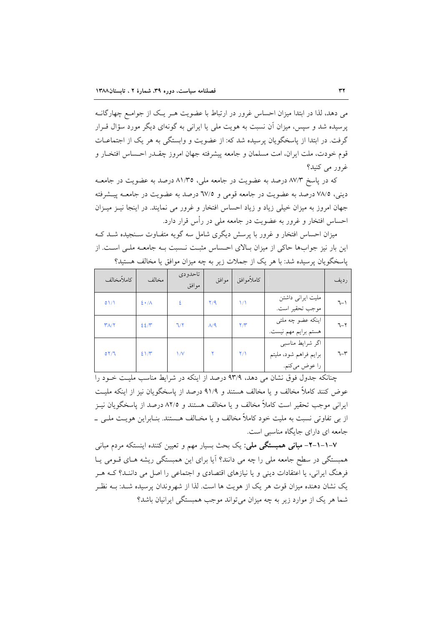می دهد، لذا در ابتدا میزان احساس غرور در ارتباط با عضویت هـر یـک از جوامـع چهارگانـه یرسیده شد و سپس، میزان آن نسبت به هویت ملی یا ایرانی به گونهای دیگر مورد سؤال قـرار گرفت. در ابتدا از پاسخگویان پرسیده شد که: از عضویت و وابستگی به هر یک از اجتماعـات قوم خودت، ملت ایران، امت مسلمان و جامعه پیشرفته جهان امروز چقــدر احــساس افتخــار و غرور مي کنيد؟

که در پاسخ ۸۷/۳ درصد به عضویت در جامعه ملی، ۸۱/۳۵ درصد به عضویت در جامعـه دینی، ۷۸/۵ درصد به عضویت در جامعه قومی و ۱۷/۵ درصد به عضویت در جامعـه پیـشرفته جهان امروز به میزان خیلی زیاد و زیاد احساس افتخار و غرور می نمایند. در اینجا نیـز میـزان احساس افتخار و غرور به عضویت در جامعه ملی در رأس قرار دارد.

میزان احساس افتخار و غرور با پرسش دیگری شامل سه گویه متفـاوت سـنجیده شـد کـه این بار نیز جوابها حاکی از میزان بالای احساس مثبت نسبت بـه جامعـه ملـی اسـت. از پاسخگویان پرسیده شد: با هر یک از جملات زیر به چه میزان موافق یا مخالف هستید؟

| كاملأمخالف | مخالف             | تاحدو دی<br>موافق | موافق        | كاملأموافق          |                                                              | رديف    |
|------------|-------------------|-------------------|--------------|---------------------|--------------------------------------------------------------|---------|
| 01/1       | $2 \cdot \Lambda$ |                   | Y/9          | ۱۸                  | ملیت ایرانی داشتن<br>موجب تحقير است.                         | ٦-۱     |
| $Y/\gamma$ | 227               | 7/7               | $\Lambda$ /9 | $\Upsilon/\Upsilon$ | اینکه عضو چه ملتی<br>هستم برايم مهم نيست.                    | $7 - 7$ |
| OY/T       | 21/7              | $\sqrt{V}$        |              | $\Upsilon/\Upsilon$ | اگر شرایط مناسبی<br>برايم فراهم شود، مليتم<br>را عوض مي كنم. | ٦-٣     |

چنانکه جدول فوق نشان می دهد، ۹۳/۹ درصد از اینکه در شرایط مناسب ملیت خـود را عوض كنند كاملاً مخالف و يا مخالف هستند و ٩١/٩ درصد از ياسخگويان نيز از اينكه مليت ایرانی موجب تحقیر است کاملاً مخالف و یا مخالف هستند و ۸۲/۵ درصد از پاسخگویان نیـز از بی تفاوتی نسبت به ملیت خود کاملاً مخالف و یا مخـالف هـستند. بنـابراین هویـت ملـی \_ جامعه ای دارای جایگاه مناسبی است.

۷–۱–۱–۳– مبانی همبستگی ملی: یک بحث بسیار مهم و تعیین کننده اینستکه مردم مبانی همبستگی در سطح جامعه ملی را چه می دانند؟ آیا برای این همبستگی ریشه هـای قـومی پــا فرهنگ ایرانی، یا اعتقادات دینی و یا نیازهای اقتصادی و اجتماعی را اصل می داننـد؟ کـه هـر یک نشان دهنده میزان قوت هر یک از هویت ها است. لذا از شهروندان پرسیده شـد: بــه نظـر شما هر یک از موارد زیر به چه میزان می تواند موجب همبستگی ایرانیان باشد؟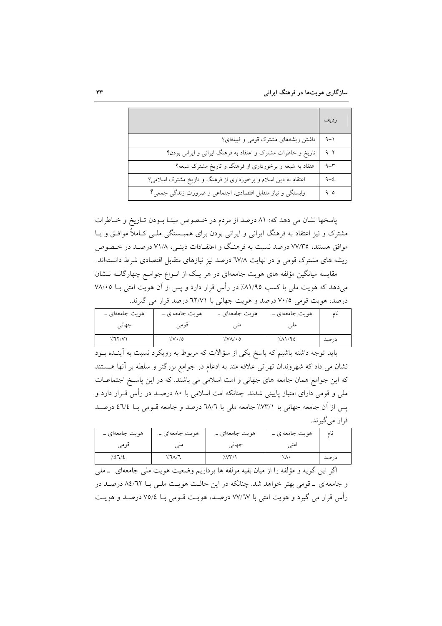سازگاری هویتها در فرهنگ ایرانی

|                                                                | رديف    |
|----------------------------------------------------------------|---------|
| داشتن ریشههای مشترک قومی و قبیلهای؟                            | ۹ $-1$  |
| تاریخ و خاطرات مشترک و اعتقاد به فرهنگ ایرانی و ایرانی بودن؟   | $9 - 7$ |
| اعتقاد به شیعه و برخورداری از فرهنگ و تاریخ مشترک شیعه؟        | $9 - 7$ |
| اعتقاد به دین اسلام و برخورداری از فرهنگ و تاریخ مشترک اسلامی؟ | $9 - 2$ |
| وابستگی و نیاز متقابل اقتصادی، اجتماعی و ضرورت زندگی جمعی؟     | $9 - 0$ |

پاسخها نشان می دهد که: ۸۱ درصد از مردم در خصوص مبنـا بـودن تـاريخ و خـاطرات مشترک و نیز اعتقاد به فرهنگ ایرانی و ایرانی بودن برای همبـستگی ملـی کـاملاً موافـق و یـا موافق هستند، ۷۷/۳۵ درصد نسبت به فرهنگ و اعتقـادات دینـی، ۷۱/۸ درصـد در خـصوص ریشه های مشترک قومی و در نهایت ٦٧/٨ درصد نیز نیازهای متقابل اقتصادی شرط دانستهاند. مقایسه میانگین مؤلفه های هویت جامعهای در هر یک از انواع جوامع چهارگانـه نـشان می،دهد که هویت ملی با کسب ۸۱/۹۵٪ در رأس قرار دارد و پس از آن هویت امتی بــا ۷۸/۰۵ درصد، هويت قومي ٧٠/٥ درصد و هويت جهاني با ٦٢/٧١ درصد قرار مي گيرند.

| ہویت جامعهای ۔ | ہویت جامعهای ۔ | ہویت جامعهای ۔           | ہویت جامعهای ۔ | ىا ھ |
|----------------|----------------|--------------------------|----------------|------|
| جهاني          | فومى           | امتى                     |                |      |
| 7.77/1         | $7.0 \cdot 10$ | $\frac{1}{2}$ $\sqrt{2}$ | ٬۸۱٬۹۵         | درصد |

باید توجه داشته باشیم که پاسخ یکی از سؤالات که مربوط به رویکرد نسبت به آینــده بــود نشان می داد که شهروندان تهرانی علاقه مند به ادغام در جوامع بزرگتر و سلطه بر آنها هستند که این جوامع همان جامعه های جهانی و امت اسلامی می باشند. که در این پاسـخ اجتماعـات ملی و قومی دارای امتیاز پایینی شدند. چنانکه امت اسلامی با ۸۰ درصـد در رأس قــرار دارد و پس از آن جامعه جهانی با ٧٣/١٪ جامعه ملی با ٦٨/٦ درصد و جامعه قـومی بـا ٤٦/٤ درصـد قرار مي گيرند.

| ہویت جامعهای ۔ | ہویت جامعهای ۔ | ہویت جامعهای ۔ | ہویت جامعهای ۔ | نام  |
|----------------|----------------|----------------|----------------|------|
| قومى           |                | جهانی          |                |      |
| 7.27/2         | \.٦٨/٦         |                | ∙∧.            | درصد |

اگر این گویه و مؤلفه را از میان بقیه مولفه ها برداریم وضعیت هویت ملی جامعهای \_ملی و جامعهای \_قومی بهتر خواهد شد. چنانکه در این حالت هویت ملـی بــا ٨٤/٦٢ درصـد در رأس قرار می گیرد و هویت امتی با ۷۷/٦۷ درصـد، هویـت قــومی بــا ۷۵/٤ درصــد و هویــت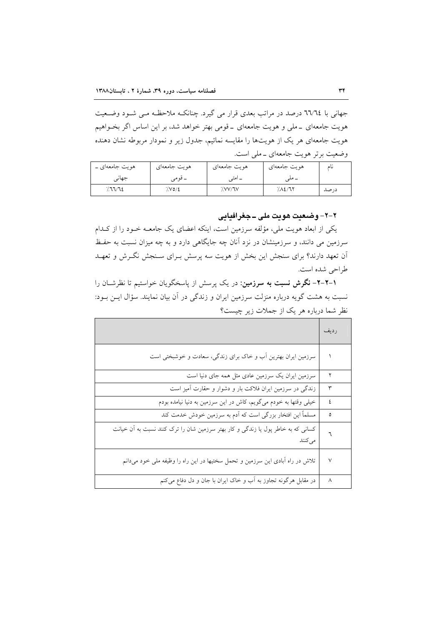جهانی با ٦٦/٦٤ درصد در مراتب بعدی قرار می گیرد. چنانکـه ملاحظـه مـی شـود وضـعیت هویت جامعهای \_ملی و هویت جامعهای \_قومی بهتر خواهد شد، بر این اساس اگر بخـواهیم هویت جامعهای هر یک از هویتها را مقایسه نمائیم، جدول زیر و نمودار مربوطه نشان دهنده وضعیت برتر هویت جامعهای ـ ملی است.

| ہویت جامعهای ۔ | هويت جامعهاي | هويت جامعهاي | هويت جامعهاي | یا ھ |
|----------------|--------------|--------------|--------------|------|
| جهانے          | قە م         | امته         | ۔ ملے        |      |
| 77772          | 7.00/2       | /VV/JV       | 7.12/71      | درصد |

٢-٢- وضعيت هويت ملي ـ جغرافيايي

یکی از ابعاد هویت ملی، مؤلفه سرزمین است، اینکه اعضای یک جامعـه خـود را از کـدام سرزمین می دانند، و سرزمینشان در نزد آنان چه جایگاهی دارد و به چه میزان نسبت به حفظ آن تعهد دارند؟ برای سنجش این بخش از هویت سه پرسش بـرای سـنجش نگـرش و تعهـد طراحي شده است.

۰–۲–۲– نگرش نسبت به سرزمین: در یک پرسش از پاسخگویان خواستیم تا نظرشــان را نسبت به هشت گویه درباره منزلت سرزمین ایران و زندگی در آن بیان نمایند. سؤال ایـن بـود: نظر شما درباره هر یک از جملات زیر چیست؟

|                                                                                              | رديف   |
|----------------------------------------------------------------------------------------------|--------|
| سرزمین ایران بهترین آب و خاک برای زندگی، سعادت و خوشبختی است                                 |        |
| سرزمین ایران یک سرزمین عادی مثل همه جای دنیا است                                             | ۲      |
| زندگی در سرزمین ایران فلاکت بار و دشوار و حقارت آمیز است                                     | ٣      |
| خیلی وقتها به خودم میگویم، کاش در این سرزمین به دنیا نیامده بودم                             | ٤      |
| مسلماً این افتخار بزرگی است که اَدم به سرزمین خودش خدمت کند                                  | ٥      |
| کسانی که به خاطر پول یا زندگی و کار بهتر سرزمین شان را ترک کنند نسبت به اَن خیانت<br>مى كنند | ٦      |
| تلاش در راه آبادی این سرزمین و تحمل سختیها در این راه را وظیفه ملی خود میدانم                | $\vee$ |
| در مقابل هرگونه تجاوز به آب و خاک ایران با جان و دل دفاع میکنم                               | ٨      |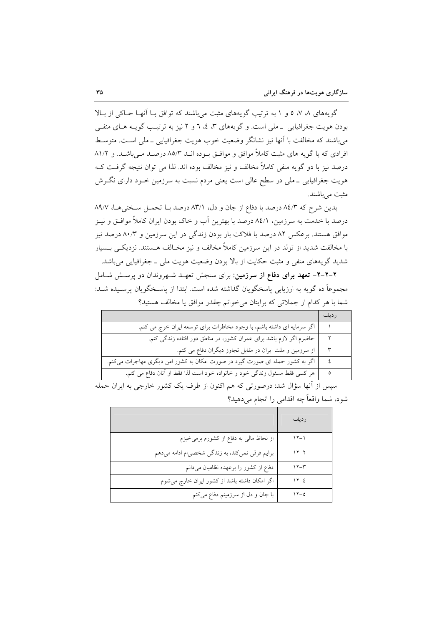گویههای ۸، ۷، ۵ و ۱ به ترتیب گویههای مثبت می باشند که توافق بـا آنهـا حـاکی از بـالا بودن هويت جغرافيايي \_ملي است. وگويههاي ٣، ٤، ٦ و ٢ نيز به ترتيب گويــه هــاي منفـــ, می باشند که مخالفت با آنها نیز نشانگر وضعیت خوب هویت جغرافیایی ــ ملی اسـت. متوسـط افرادی که با گویه های مثبت کاملاً موافق و موافـق بـوده انــد ۸۵/۳ درصــد مــی باشــد. و ۸۱/۲ درصد نيز با دو گويه منفي كاملاً مخالف و نيز مخالف بوده اند. لذا مي توان نتيجه گرفت كـه هویت جغرافیایی ــ ملی در سطح عالی است یعنی مردم نسبت به سرزمین خــود دارای نگــرش مثبت مي باشند.

بدین شرح که ۸٤/۳ درصد با دفاع از جان و دل، ۸۳/۱ درصد بـا تحمـل سـختی هـا، ۸۹/۷ درصد با خدمت به سرزمین، ۸٤/۱ درصد با بهترین آب و خاک بودن ایران کاملاً موافــق و نیــز موافق هستند. برعکس ۸۲ درصد با فلاکت بار بودن زندگی در این سرزمین و ۸۰/۳ درصد نیز با مخالفت شدید از تولد در این سرزمین کاملاً مخالف و نیز مخـالف هــستند. نزدیکــی بــسیار شدید گویههای منفی و مثبت حکایت از بالا بودن وضعیت هویت ملی ــ جغرافیایی میباشد.

۲-۲-۲- تعهد برای دفاع از سرزمین: برای سنجش تعهـد شـهروندان دو پرسـش شـامل مجموعاً ده گویه به ارزیابی پاسخگویان گذاشته شده است. ابتدا از پاسـخگویان پرسـیده شـد: شما با هر كدام از جملاتی كه برایتان می خوانم چقدر موافق یا مخالف هستید؟

|                                                                              | , دىف |
|------------------------------------------------------------------------------|-------|
| اگر سرمایه ای داشته باشم، با وجود مخاطرات برای توسعه ایران خرج می کنم.       |       |
| حاضرم اگر لازم باشد برای عمران کشور، در مناطق دور افتاده زندگی کنم.          |       |
| از سرزمین و ملت ایران در مقابل تجاوز دیگران دفاع می کنم.                     | ٣     |
| اگر به کشور حمله ای صورت گیرد در صورت امکان به کشور امن دیگری مهاجرات میکنم. |       |
| هر كسى فقط مسئول زندگى خود و خانواده خود است لذا فقط از آنان دفاع مى كنم.    |       |

سپس از آنها سؤال شد: درصورتی که هم اکنون از طرف یک کشور خارجی به ایران حمله شود، شما واقعاً چه اقدامی را انجام می دهید؟

|                                                | رديف     |
|------------------------------------------------|----------|
| از لحاظ مالی به دفاع از کشورم برمیخیزم         | $15-1$   |
| برایم فرقی نمیکند، به زندگی شخصی م ادامه میدهم | $11 - 7$ |
| دفاع از کشور را برعهده نظامیان میدانم          | $15 - 7$ |
| اگر امکان داشته باشد از کشور ایران خارج میشوم  | $15 - 2$ |
| با جان و دل از سرزمینم دفاع میکنم              | $15-0$   |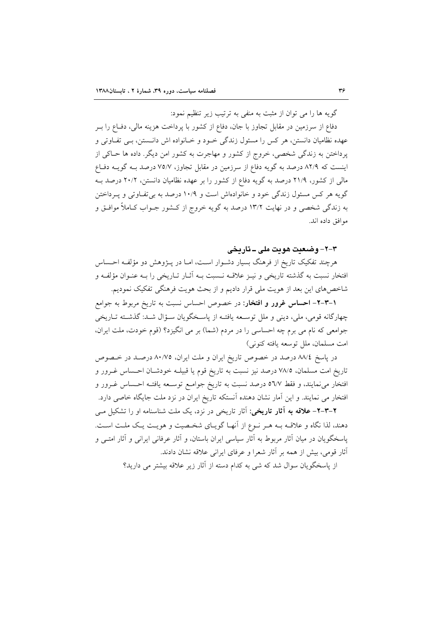گویه ها را می توان از مثبت به منفی به ترتیب زیر تنظیم نمود:

دفاع از سرزمین در مقابل تجاوز با جان، دفاع از کشور با پرداخت هزینه مالی، دفــاع را بــر عهده نظامیان دانستن، هر کس را مسئول زندگی خـود و خـانواده اش دانـستن، بـی تفـاوتی و پرداختن به زندگی شخصی، خروج از کشور و مهاجرت به کشور امن دیگر. داده ها حـاکی از اینست که ۸۲/۹ درصد به گویه دفاع از سرزمین در مقابل تجاوز، ۷۵/۷ درصد بـه گویـه دفـاع مالی از کشور، ۲۱/۹ درصد به گویه دفاع از کشور را بر عهده نظامیان دانستن، ۲۰/۲ درصد بـه گویه هر کس مسئول زندگی خود و خانوادهاش است و ۱۰/۹ درصد به بی تفـاوتی و پـرداختن به زندگی شخصی و در نهایت ۱۳/۲ درصد به گویه خروج از کـشور جــواب کــاملاً موافــق و موافق داده اند.

٣-٢- وضعت هويت ملي - تاريخي

هرچند تفکیک تاریخ از فرهنگ بسیار دشـوار اسـت، امـا در پــژوهش دو مؤلفـه احــساس افتخار نسبت به گذشته تاریخی و نیـز علاقـه نــسبت بـه آثــار تــاریخی را بــه عنــوان مؤلفــه و شاخصهای این بعد از هویت ملی قرار دادیم و از بحث هویت فرهنگی تفکیک نمودیم.

**۱–۲–۲– احساس غرور و افتخار**: در خصوص احساس نسبت به تاریخ مربوط به جوامع چهارگانه قومی، ملی، دینی و ملل توسعه یافتـه از پاسـخگویان سـؤال شـد: گذشـته تـاریخی جوامعي كه نام مي برم چه احساسي را در مردم (شما) بر مي انگيزد؟ (قوم خودت، ملت ايران، امت مسلمان، ملل توسعه يافته كنوني)

در پاسخ ۸۸/٤ درصد در خصوص تاریخ ایران و ملت ایران، ۸۰/۷۵ درصـد در خـصوص تاریخ امت مسلمان، ۷۸/۵ درصد نیز نسبت به تاریخ قوم یا قبیلـه خودشـان احـساس غــرور و افتخار می نمایند، و فقط ٥٦/٧ درصد نسبت به تاریخ جوامع توسـعه یافتـه احـساس غـرور و افتخار می نمایند. و این اّمار نشان دهنده اّنستکه تاریخ ایران در نزد ملت جایگاه خاصی دارد.

۲–۳–۲ علاقه به آثار تاریخی: آثار تاریخی در نزد، یک ملت شناسنامه او را تشکیل مـی دهند، لذا نگاه و علاقـه بـه هـر نـوع از آنهـا گويـاي شخـصيت و هويـت يـك ملـت اسـت. پاسخگویان در میان آثار مربوط به آثار سیاسی ایران باستان، و آثار عرفانی ایرانی و آثار امتـی و أثار قومي، بيش از همه بر أثار شعرا و عرفاي ايراني علاقه نشان دادند.

از پاسخگویان سوال شد که شی به کدام دسته از آثار زیر علاقه بیشتر می دارید؟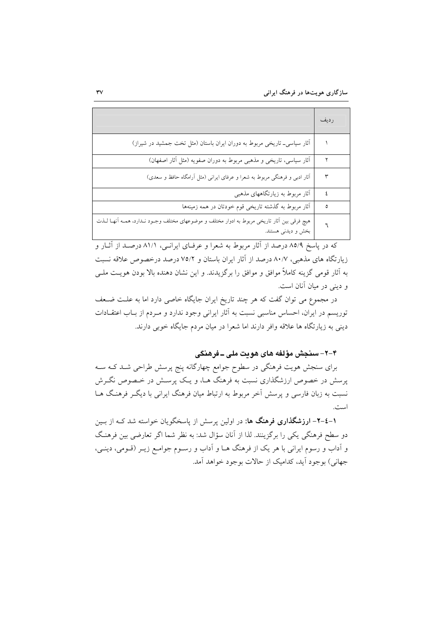|                                                                                                                       | ر دىف |
|-----------------------------------------------------------------------------------------------------------------------|-------|
| آثار سیاسی_ تاریخی مربوط به دوران ایران باستان (مثل تخت جمشید در شیراز)                                               |       |
| أثار سیاسی، تاریخی و مذهبی مربوط به دوران صفویه (مثل أثار اصفهان)                                                     |       |
| آثار ادبی و فرهنگی مربوط به شعرا و عرفای ایرانی (مثل آرامگاه حافظ و سعدی)                                             | ٣     |
| آثار مربوط به زیارتگاههای مذهبی                                                                                       | ٤     |
| آثار مربوط به گذشته تاریخی قوم خودتان در همه زمینهها                                                                  | ٥     |
| هیچ فرقی بین آثار تاریخی مربوط به ادوار مختلف و موضوعهای مختلف وجـود نـدارد، همــه أنهــا لــذت<br>بخش و دیدنی هستند. |       |

که در پاسخ ۸۵/۹ درصد از آثار مربوط به شعرا و عرفـای ایرانــی، ۸۱/۱ درصــد از آثــار و زیارتگاه های مذهبی، ۸۰/۷ درصد از آثار ایران باستان و ۷۵/۲ درصد درخصوص علاقه نسبت به آثار قومی گزینه کاملاً موافق و موافق را برگزیدند. و این نشان دهنده بالا بودن هویت ملبی و دینی در میان آنان است.

در مجموع می توان گفت که هر چند تاریخ ایران جایگاه خاصی دارد اما به علـت ضـعف توریسم در ایران، احساس مناسبی نسبت به آثار ایرانی وجود ندارد و مـردم از بـاب اعتقـادات دینی به زیارتگاه ها علاقه وافر دارند اما شعرا در میان مردم جایگاه خوبی دارند.

# ۴-۲- سنجش مؤلفه های هویت ملی ــ فرهنگی

برای سنجش هویت فرهنگی در سطوح جوامع چهارگانه پنج پرسش طراحی شـد کـه سـه پرسش در خصوص ارزشگذاری نسبت به فرهنگ هـا، و یـک پرســش در خــصوص نگــرش نسبت به زبان فارسی و پرسش آخر مربوط به ارتباط میان فرهنگ ایرانی با دیگر فرهنگ هـا است.

۱-٤-۲- ا**رزشگذاری فرهنگ ها:** در اولین پرسش از پاسخگویان خواسته شد کـه از بـین دو سطح فرهنگی یکی را برگزینند. لذا از آنان سؤال شد: به نظر شما اگر تعارضی بین فرهنگ و آداب و رسوم ایرانی با هر یک از فرهنگ هــا و آداب و رســوم جوامــع زیــر (قــومی، دینــی، جهاني) بوجود آيد، كداميك از حالات بوجود خواهد آمد.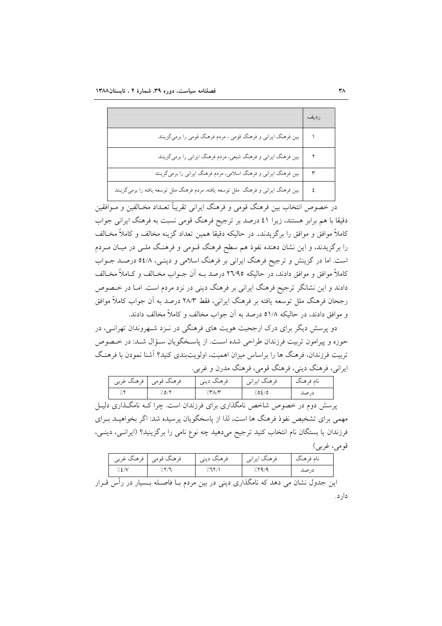|                                                                                     | رديف |
|-------------------------------------------------------------------------------------|------|
| بین فرهنگ ایرانی و فرهنگ قومی ، مردم فرهنگ قومی را برمیگزینند                       |      |
| بین فرهنگ ایرانی و فرهنگ شیعی، مردم فرهنگ ایرانی را برمیگزینند                      |      |
| ً بین فرهنگ ایرانی و فرهنگ اسلامی، مردم فرهنگ ایرانی را برمیگزینند                  |      |
| بین فرهنگ ایرانی و فرهنگ ًملل توسعه یافته، مردم فرهنگ ملل توسعه یافته را برمیگزینند |      |

در خصوص انتخاب بین فرهنگ قومی و فرهنگ ایرانی تقریباً تعــداد مخــالفین و مــوافقین دقیقا با هم برابر هستند، زیرا ٤١ درصد بر ترجیح فرهنگ قومی نسبت به فرهنگ ایرانی جواب کاملاً موافق و موافق را برگزیدند. در حالیکه دقیقا همین تعداد گزینه مخالف و کاملاً مخـالف را برگزیدند، و این نشان دهنده نفوذ هم سطح فرهنگ قـومی و فرهنـگ ملـی در میـان مـردم است. اما در گزینش و ترجیح فرهنگ ایرانی بر فرهنگ اسلامی و دینـی، ۵٤/۸ درصـد جــواب کاملاً موافق و موافق دادند، در حالیکه ٢٦/٩٥ درصد بــه آن جــواب مخــالف و کــاملاً مخــالف دادند و این نشانگر ترجیح فرهنگ ایرانی بر فرهنگ دینی در نزد مردم است. امـا در خـصوص رجحان فرهنگ ملل توسعه يافته بر فرهنگ ايراني، فقط ٢٨/٣ درصد به آن جواب كاملاً موافق و موافق دادند، در حالیکه ۵۱/۸ درصد به آن جواب مخالف و کاملاً مخالف دادند.

دو پرسش دیگر برای درک ارجحیت هویت های فرهنگی در نـزد شـهروندان تهرانـی، در حوزه و پیرامون تربیت فرزندان طراحی شده است. از پاسـخگویان سـؤال شـد: در خـصوص تربیت فرزندان، فرهنگ ها را براساس میزان اهمیت، اولویتبندی کنید؟ آشنا نمودن با فرهنگ ايراني، فرهنگ ديني، فرهنگ قومي، فرهنگ مدرن و غربي.

| ا فرهنگ غربی ۱ | فرهنگ قومي  | فرهنگ ديني | فرهنگ ايراني | نام فرهنگ |
|----------------|-------------|------------|--------------|-----------|
|                | $(0.0)^{V}$ |            | 0/30/        | در صد     |

پرسش دوم در خصوص شاخص نامگذاری برای فرزندان است. چرا کـه نامگـذاری دليـل مهمی برای تشخیص نفوذ فرهنگ ها است، لذا از پاسخگوپان پرسیده شد: اگر بخواهیـد بـرای فرزندان یا بستگان نام انتخاب کنید ترجیح میدهید چه نوع نامی را برگزینید؟ (ایرانــی، دینــی، قومي، غربي)

| فرهنگ غربي | فر هنگ قومے | ه هند <i>د</i> یب <sub>ی</sub> | فر هنگ ایران <sub>ی</sub> ۱ | نام و هنگ |
|------------|-------------|--------------------------------|-----------------------------|-----------|
| ا با       |             |                                |                             | در صد     |

این جدول نشان می دهد که نامگذاری دینی در بین مردم بـا فاصــله بــسیار در رأس قــرار دار د.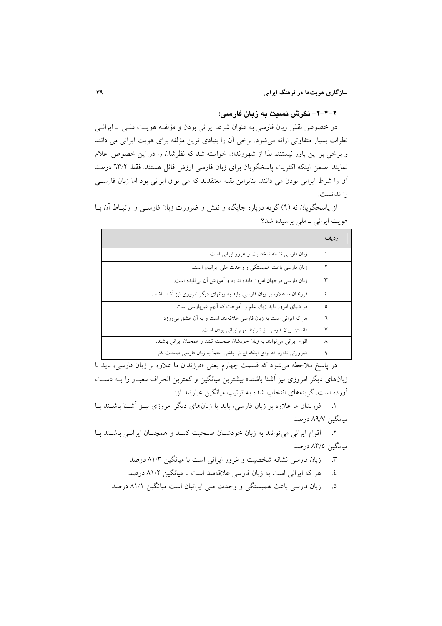### ۲–۲–۲– نگرش نسبت به زبان فارسی:

در خصوص نقش زبان فارسی به عنوان شرط ایرانی بودن و مؤلفـه هویـت ملـی \_ایرانـی نظرات بسیار متفاوتی ارائه میشود. برخی آن را بنیادی ترین مؤلفه برای هویت ایرانی می دانند و برخی بر این باور نیستند. لذا از شهروندان خواسته شد که نظرشان را در این خصوص اعلام نمايند. ضمن اينكه اكثريت پاسخگويان براى زبان فارسى ارزش قائل هستند. فقط ٦٣/٢ درصد آن را شرط ایرانی بودن می دانند، بنابراین بقیه معتقدند که می توان ایرانی بود اما زبان فارسبی را ندانست.

از پاسخگوپان نه (۹) گوپه درباره جايگاه و نقش و ضرورت زبان فارسـي و ارتبــاط آن بــا هويت ايراني \_ ملي پرسيده شد؟

|                                                                             | رديف |
|-----------------------------------------------------------------------------|------|
| زبان فارسی نشانه شخصیت و غرور ایرانی است                                    |      |
| زبان فارسی باعث همبستگی و وحدت ملی ایرانیان است.                            | ۲    |
| زبان فارسی درجهان امروز فایده ندارد و آموزش آن بیفایده است.                 | ٣    |
| فرزندان ما علاوه بر زبان فارسی، باید به زبانهای دیگر امروزی نیز آشنا باشند. | ٤    |
| در دنیای امروز باید زبان علم را آموخت که آنهم غیرپارسی است.                 | ٥    |
| هر که ایرانی است به زبان فارسی علاقهمند است و به آن عشق میورزد.             | ٦    |
| دانستن زبان فارسی از شرایط مهم ایرانی بودن است.                             | ٧    |
| اقوام ایرانی میتوانند به زبان خودشان صحبت کنند و همچنان ایرانی باشند.       | ٨    |
| ضرورتی ندارد که برای اینکه ایرانی باشی حتماً به زبان فارسی صحبت کنی.        |      |

در پاسخ ملاحظه میشود که قسمت چهارم یعنی «فرزندان ما علاوه بر زبان فارسی، باید با زبانهای دیگر امروزی نیز آشنا باشند» بیشترین میانگین و کمترین انحراف معیـار را بــه دســت آورده است. گزینههای انتخاب شده به ترتیب میانگین عبارتند از:

۱. فرزندان ما علاوه بر زبان فارسی، باید با زبانهای دیگر امروزی نیـز آشـنا باشـند بـا مبانگین ۸۹/۷ درصد

٢. اقوام ايراني مي توانند به زبان خودشان صحبت كننـد و همچنان ايرانـي باشـند بـا میانگین ۸۳/٥ درصد

- زبان فارسی نشانه شخصیت و غرور ایرانی است با میانگین ۸۱/۳ درصد  $\mathbf{r}$
- هر که ایرانی است به زبان فارسی علاقهمند است با میانگین ۸۱/۲ درصد  $\cdot$
- زبان فارسی باعث همبستگی و وحدت ملی ایرانیان است میانگین ۸۱/۱ درصد  $\cdot$ .0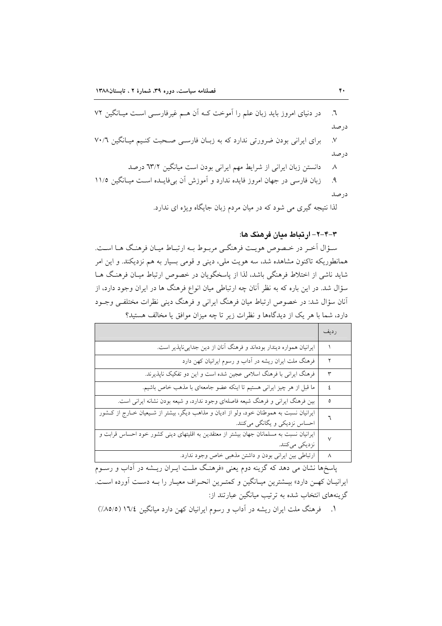در دنیای امروز باید زبان علم را آموخت کـه آن هــم غیرفارســی اسـت میــانگین ۷۲  $\mathcal{L}$ . در صد

برای ایرانی بودن ضرورتی ندارد که به زبان فارسی صحبت کنیم میانگین ٧٠/٦  $\mathcal{N}$ در صد

> دانستن زبان ایرانی از شرایط مهم ایرانی بودن است میانگین ٦٣/٢ درصد  $\lambda$

زبان فارسی در جهان امروز فایده ندارد و آموزش آن بی فایـده اسـت میـانگین ۱۱/۵  $\mathcal{A}$ در صد

لذا نتیجه گیری می شود که در میان مردم زبان جایگاه ویژه ای ندارد.

# ۳-۴-۲- ارتباط مبان فرهنگ ها:

سؤال آخر در خصوص هويت فرهنگي مربـوط بـه ارتبـاط ميـان فرهنـگ هـا اسـت. همانطوریکه تاکنون مشاهده شد، سه هویت ملی، دینی و قومی بسیار به هم نزدیکند. و این امر شاید ناشی از اختلاط فرهنگی باشد، لذا از پاسخگویان در خصوص ارتباط میـان فرهنـگ هــا سؤال شد. در این باره که به نظر آنان چه ارتباطی میان انواع فرهنگ ها در ایران وجود دارد، از أنان سؤال شد: در خصوص ارتباط میان فرهنگ ایرانی و فرهنگ دینی نظرات مختلفی وجـود دارد، شما با هر یک از دیدگاهها و نظرات زیر تا چه میزان موافق یا مخالف هستید؟

|                                                                                                                             | رديف   |
|-----------------------------------------------------------------------------------------------------------------------------|--------|
| ایرانیان همواره دیندار بودهاند و فرهنگ آنان از دین جداییناپذیر است.                                                         |        |
| فرهنگ ملت ایران ریشه در آداب و رسوم ایرانیان کهن دارد                                                                       | ٢      |
| فرهنگ ایرانی با فرهنگ اسلامی عجین شده است و این دو تفکیک ناپذیرند.                                                          | ٣      |
| ما قبل از هر چیز ایرانی هستیم تا اینکه عضو جامعهای با مذهب خاص باشیم.                                                       | ٤      |
| بین فرهنگ ایرانی و فرهنگ شیعه فاصلهای وجود ندارد، و شیعه بودن نشانه ایرانی است.                                             | ٥      |
| ایرانیان نسبت به هموطنان خود، ولو از ادیان و مذاهب دیگر، بیشتر از شـیعیان خــارج از کــشور<br>احساس نزدیکی و یگانگی میکنند. |        |
| ایرانیان نسبت به مسلمانان جهان بیشتر از معتقدین به اقلیتهای دینی کشور خود احساس قرابت و<br>نزدیکی میکنند.                   | $\vee$ |
| ارتباطی بین ایرانی بودن و داشتن مذهبی خاص وجود ندارد.                                                                       | ٨      |

پاسخها نشان می دهد که گزینه دوم یعنی «فرهنگ ملت ایـران ریـشه در آداب و رســوم ایرانیـان کهـن دارد» بیــشترین میـانگین و کمتـرین انحـراف معیـار را بـه دسـت آورده اسـت. گزینههای انتخاب شده به ترتیب میانگین عبارتند از:

۱. فرهنگ ملت ایران ریشه در آداب و رسوم ایرانیان کهن دارد میانگین ۱۳/٤ (۸۵/۵٪)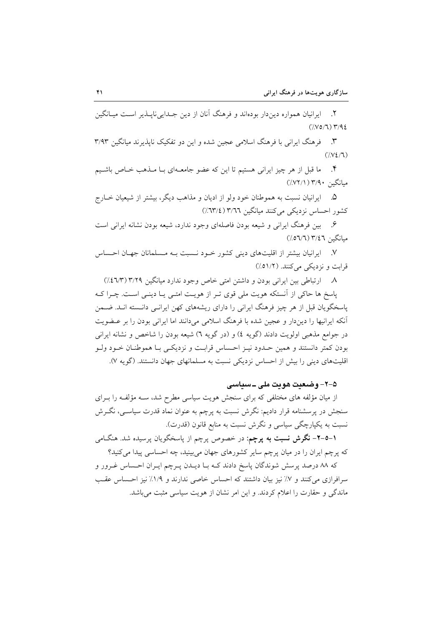۲. ایرانیان همواره دیندار بودهاند و فرهنگ آنان از دین جـدایی ناپــذیر اســت میــانگین  $(7.007)$   $7.92$ 

فرهنگ ایرانی با فرهنگ اسلامی عجین شده و این دو تفکیک ناپذیرند میانگین ۳/۹۳  $\mathcal{N}$  $(\sqrt{V_{\epsilon}/T})$ 

ما قبل از هر چیز ایرانی هستیم تا این که عضو جامعـهای بـا مـذهب خـاص باشـیم  $\cdot$ میانگین ۳/۹۰ (۷۲/۱٪)

۵. \_ ايرانيان نسبت به هموطنان خود ولو از اديان و مذاهب ديگر، بيشتر از شيعيان خــارج کشور احساس نزدیکی می کنند میانگین ۳/٦٦ (٣/٤).

۶. بین فرهنگ ایرانی و شیعه بودن فاصلهای وجود ندارد، شیعه بودن نشانه ایرانی است مبانگین ۳/٤٦ (٦/٥٦/٦)

٧. ايرانيان بيشتر از اقليتهاى ديني كشور خـود نـسبت بـه مـسلمانان جهـان احـساس قرابت و نزدیکی میکنند. (٥١/٢)

٨. ارتباطي بين ايراني بودن و داشتن امتي خاص وجود ندارد ميانگين ٣/٢٩ (٤٦/٣). یاسخ ها حاکی از آنستکه هویت ملی قوی تـر از هویـت امتـی یـا دینـی اسـت. چـرا کـه یاسخگویان قبل از هر چیز فرهنگ ایرانی را دارای ریشههای کهن ایرانبی دانـسته انـد. ضـمن آنکه ایرانیها را دیندار و عجین شده با فرهنگ اسلامی میدانند اما ایرانی بودن را بر عـضویت در جوامع مذهبی اولویت دادند (گویه ٤) و (در گویه ٦) شیعه بودن را شاخص و نشانه ایرانی بودن كمتر دانستند و همين حــدود نيــز احــساس قرابــت و نزديكــي بــا هموطنــان خــود ولــو اقلیتهای دینی را بیش از احساس نزدیکی نسبت به مسلمانهای جهان دانستند. (گویه ۷).

### ۵–۲– وضعیت هویت ملی ــ سیاسی

از میان مؤلفه های مختلفی که برای سنجش هویت سیاسی مطرح شد، سـه مؤلفـه را بـرای سنجش در پرسشنامه قرار دادیم: نگرش نسبت به پرچم به عنوان نماد قدرت سیاسی، نگـرش نسبت به يکيارچگي سياسي و نگرش نسبت به منابع قانون (قدرت).

**۱–۵–۲– نگرش نسبت به پرچم**: در خصوص پرچم از پاسخگویان پرسیده شد. هنگ**ا**می که پرچم ایران را در میان پرچم سایر کشورهای جهان می بینید، چه احساسی پیدا می کنید؟

که ۸۸ درصد پرسش شوندگان پاسخ دادند کـه بـا ديــدن پــرچم ايــران احــساس غــرور و سرافرازی می کنند و ۷٪ نیز بیان داشتند که احساس خاصی ندارند و ۱/۹٪ نیز احساس عقب ماندگی و حقارت را اعلام کردند. و این امر نشان از هویت سیاسی مثبت می باشد.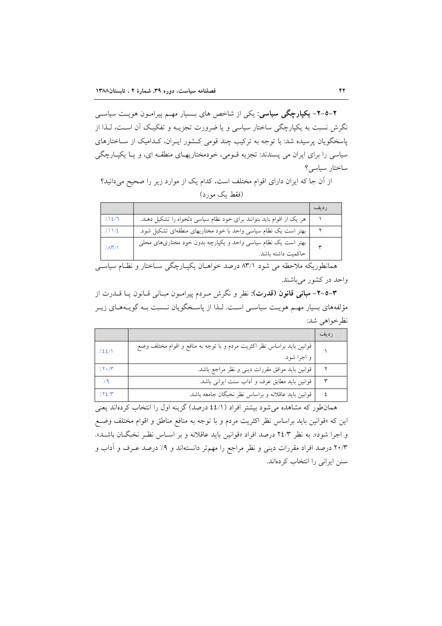۲–۵–۲– یکپارچگی سیاسی: یکی از شاخص های بـسیار مهـم پیرامـون هویـت سیاســی نگرش نسبت به یکپارچگی ساختار سیاسی و یا ضرورت تجزیــه و تفکیـک آن اسـت، لــذا از پاسخگویان پرسیده شد: با توجه به ترکیب چند قومی کشور ایـران، کـدامیک از سـاختارهای سیاسی را برای ایران می پسندند: تجزیه قـومی، خودمختاریهـای منطقـه ای، و یـا یکپـارچگی ساختار سياسى؟

از آن جا که ایران دارای اقوام مختلف است، کدام یک از موارد زیر را صحیح میدانید؟ (فقط یک مورد)

|               |                                                                                     | ر دىف      |
|---------------|-------------------------------------------------------------------------------------|------------|
| 7.12/7        | هر یک از اقوام باید بتوانند برای خود نظام سیاسی دلخواه را تشکیل دهند.               |            |
| 7.11/2        | بهتر است یک نظام سیاسی واحد با خود مختاریهای منطقهای تشکیل شود.                     |            |
| $7\lambda$ Y/ | بهتر است یک نظام سیاسی واحد و یکپارچه بدون خود مختاریهای محلی<br>حاكميت داشته باشد. | $\check{}$ |

همانطوریکه ملاحظه می شود ۸۳/۱ درصد خواهـان یکپـارچگی سـاختار و نظـام سیاســی واحد در کشور می باشند.

٣-٥-٢- مباني قانون (قدرت): نظر و نگرش مـردم پيرامـون مبـاني قـانون يـا قــدرت از مؤلفههای بسیار مهـم هویـت سیاسـی اسـت. لـذا از پاسـخگویان نـسبت بـه گویـههـای زیـر نظر خواهي شد:

|            |                                                                         | ر دىف |
|------------|-------------------------------------------------------------------------|-------|
| 7.22/1     | قوانین باید براساس نظر اکثریت مردم و با توجه به منافع و اقوام مختلف وضع |       |
|            | و اجرا شود.                                                             |       |
| 7.7.7      | قوانین باید موافق مقررات دینی و نظر مراجع باشد.                         |       |
| $\gamma$ ۹ | قوانین باید مطابق عرف و آداب سنت ایرانی باشد.                           |       |
| 7.72/T     | قوانین باید عاقلانه و براساس نظر نخبگان جامعه باشد.                     |       |

همان طور که مشاهده می شود بیشتر افراد (٤٤/١ درصد) گزینه اول را انتخاب کردهاند یعنی این که «قوانین باید براساس نظر اکثریت مردم و با توجه به منافع مناطق و اقوام مختلف وضـع و اجرا شود». به نظر ۲٤/۳ درصد افراد «قوانین باید عاقلانه و بر اسـاس نظـر نخبگـان باشـد». ۲۰/۳ درصد افراد مقررات دینی و نظر مراجع را مهمتر دانستهاند و ۹٪ درصد عـرف و آداب و سنن ایرانی را انتخاب کردهاند.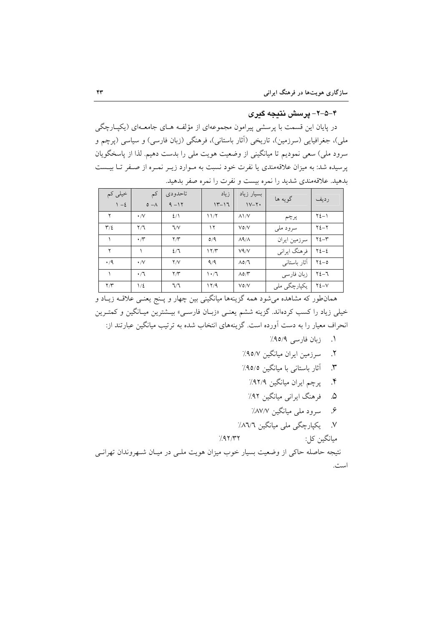# ۴–۵–۲– پرسش نتیجه گیری

در پایان این قسمت با پرسشی پیرامون مجموعهای از مؤلفـه هــای جامعــهای (یکپــارچگی ملی)، جغرافیایی (سرزمین)، تاریخی (اَثار باستانی)، فرهنگی (زبان فارسی) و سیاسی (پرچم و سرود ملی) سعی نمودیم تا میانگینی از وضعیت هویت ملی را بدست دهیم. لذا از پاسخگویان یرسیده شد: به میزان علاقهمندی یا نفرت خود نسبت به مـوارد زیـر نمـره از صـفر تــا بیــست بدهید. علاقهمندی شدید را نمره بیست و نفرت را نمره صفر بدهید.

| خیلی کم<br>$1 - 2$      | کم<br>$0 - A$       | تاحدودي<br>$9 - 17$ | زياد<br>$11 - 17$ | بسيار زياد<br>$1V - Y$  | گويه ها      | رديف             |
|-------------------------|---------------------|---------------------|-------------------|-------------------------|--------------|------------------|
| ۲                       | $\cdot$ /V          | 2/1                 | 11/7              | $\lambda$ \/ $\vee$     | پرچم         | $Y\Sigma-1$      |
| $\mathbf{r}/\mathbf{r}$ | $\Upsilon/\Upsilon$ | 7/V                 | ۱۲                | $V$ ٥/V                 | سرود ملي     | $Y\Sigma-Y$      |
|                         | $\cdot$ / $\sim$    | $\Upsilon/\Upsilon$ | O/9               | $\Lambda$ ۹/ $\Lambda$  | سرزمين ايران | $Y\Sigma-Y$      |
| ۲                       |                     | 2/7                 | 17/T              | V <sup>q</sup> /V       | فرهنگ ایرانی | $Y\Sigma-\Sigma$ |
| $\cdot$ /9              | $\cdot$ /V          | Y/V                 | 9/9               | $\Lambda$ 0/7           | آثار باستانی | $Y\Sigma - 0$    |
|                         | $\cdot/7$           | $\Upsilon/\Upsilon$ | $\cdot 7$         | $\Lambda$ o/ $\Upsilon$ | زبان فارسى   | $Y_{2}-7$        |
| $\Upsilon/\Upsilon$     | 1/2                 | 7/7                 | 17/9              | $V$ ٥/V                 | یکپارچگی ملی | $Y\Sigma-V$      |

همانطور که مشاهده میشود همه گزینهها میانگینی بین چهار و پـنج یعنـی علاقـه زیـاد و خیلی زیاد را کسب کردهاند. گزینه ششم یعنمی «زبـان فارسـمی» بیـشترین میـانگین و کمتـرین انحراف معیار را به دست آورده است. گزینههای انتخاب شده به ترتیب میانگین عبارتند از:

- ١. زبان فارسي ٩٥/٩٪
- ٢. سرزمین ایران میانگین ۹۵/۷٪
- ۴. آثار باستانی با میانگین ۹۵/۵٪
	- ۴. پرچم ایران میانگین ۹۲/۹٪
- ۵. فرهنگ ایرانی میانگین ۹۲٪
- ۶. سرود ملي ميانگين ۸۷/۷٪

ميانگين کل:

٧. يكپارچگى ملى ميانگين ٨٦/٦٪

$$
/47/\Upsilon\Upsilon
$$

نتیجه حاصله حاکی از وضعیت بسیار خوب میزان هویت ملـی در میـان شـهروندان تهرانـی است.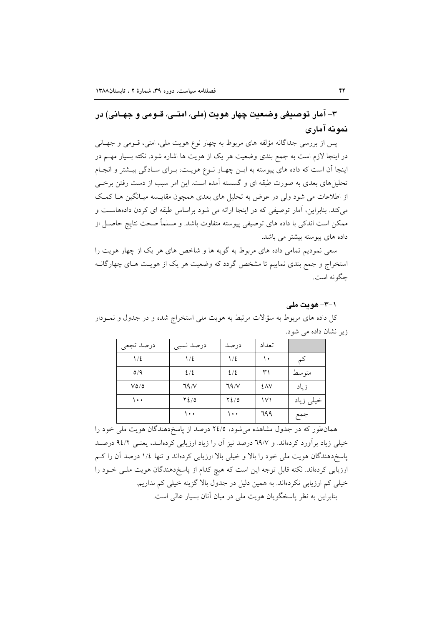٣- آمار توصيفي وضعيت چهار هويت (ملي، امتـي، قــومي و جهــاني) در نمونه آماري

يس از بررسي جداگانه مؤلفه هاي مربوط به چهار نوع هويت ملي، امتى، قـومي و جهـاني در اینجا لازم است به جمع بندی وضعیت هر یک از هویت ها اشاره شود. نکته بسیار مهــم در اینجا آن است که داده های پیوسته به ایـن چهـار نـوع هویـت، بـرای سـادگی بیـشتر و انجـام تحلیل های بعدی به صورت طبقه ای و گسسته آمده است. این امر سبب از دست رفتن برخی از اطلاعات می شود ولی در عوض به تحلیل های بعدی همچون مقایسه میـانگین هـا کمـک می کند. بنابراین، اَمار توصیفی که در اینجا ارائه می شود براساس طبقه ای کردن دادههاست و ممکن است اندکی با داده های توصیفی پیوسته متفاوت باشد. و مسلماً صحت نتایج حاصـل از داده های پیوسته بیشتر می باشد.

سعی نمودیم تمامی داده های مربوط به گویه ها و شاخص های هر یک از چهار هویت را استخراج و جمع بندی نماییم تا مشخص گردد که وضعیت هر یک از هویـت هـای چهارگانــه جگو نه است.

### ۰۱–۳– هويت ملي

کل داده های مربوط به سؤالات مرتبط به هویت ملی استخراج شده و در جدول و نمـودار زیر نشان داده می شود.

| درصد تجعى               | درصد نسبى    | درصد         | تعداد         |           |
|-------------------------|--------------|--------------|---------------|-----------|
| $1/\epsilon$            | $1/\epsilon$ | $1/\epsilon$ | ١٠            | کم        |
| $\mathsf{o}/\mathsf{q}$ | 2/2          | 2/2          | ۳۱            | متوسط     |
| $V$ 0/0                 | 79/V         | 79/V         | <b>EAV</b>    | زياد      |
| ۱۰۰                     | $Y_{\ell/0}$ | $Y_{\ell/0}$ | $\mathcal{V}$ | خیلی زیاد |
|                         | ۱۰۰          | ۱۰۰          | 799           | جمع       |

همانطور که در جدول مشاهده می شود، ۲٤/٥ درصد از پاسخ دهندگان هویت ملی خود را خیلی زیاد برآورد کردهاند. و ٦٩/٧ درصد نیز آن را زیاد ارزیابی کردهانـد، یعنـی ٩٤/٢ درصـد پاسخ دهندگان هویت ملی خود را بالا و خیلی بالا ارزیابی کردهاند و تنها ۱/٤ درصد آن را کم ارزیابی کردهاند. نکته قابل توجه این است که هیچ کدام از پاسخ دهندگان هویت ملـی خـود را خیلی کم ارزیابی نکردهاند. به همین دلیل در جدول بالا گزینه خیلی کم نداریم. بنابراین به نظر پاسخگویان هویت ملی در میان آنان بسیار عالی است.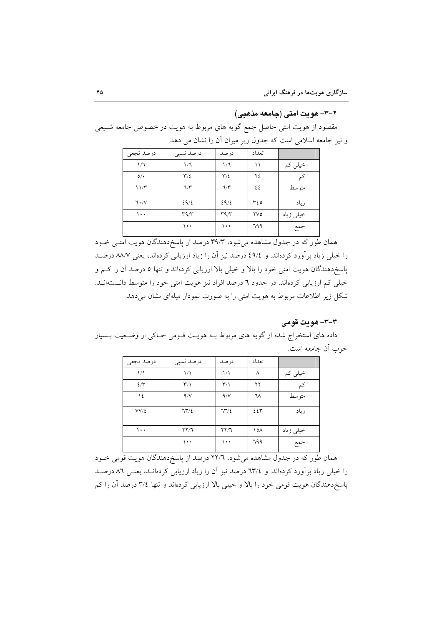# ۲–۳– هويت امتي (جامعه مذهبي)

مقصود از هویت امتی حاصل جمع گویه های مربوط به هویت در خصوص جامعه شـیعی و نیز جامعه اسلامی است که جدول زیر میزان آن را نشان می دهد.

| درصد تجعى | درصد نسبى                         | درصد                                   | تعداد |           |
|-----------|-----------------------------------|----------------------------------------|-------|-----------|
| 1/7       | 1/7                               | 1/7                                    |       | خیلی کم   |
| O/        | $\Upsilon/\Sigma$                 | $\mathbf{r}/\mathbf{r}$                | ۲٤    |           |
| 11/T      | 7/7                               | 7/7                                    | ٤٤    | متوسط     |
| 7.7       | 29/2                              | 29/2                                   | ۳٤٥   | زياد      |
| $\cdots$  | $\mathbf{r}\mathbf{q}/\mathbf{r}$ | $\mathsf{r}\mathsf{q}\wedge\mathsf{r}$ | ۲V٥   | خیلی زیاد |
|           | ۱۰۰                               | ۱۰۰                                    | 799   | جمع       |

همان طور که در جدول مشاهده میشود، ۳۹/۳ درصد از پاسخدهندگان هویت امتبی خـود را خیلی زیاد بر آورد کردهاند. و ٤٩/٤ درصد نیز آن را زیاد ارزیابی کردهاند، یعنی ٨٨/٧ درصـد پاسخدهندگان هویت امتی خود را بالا و خیلی بالا ارزیابی کردهاند و تنها ٥ درصد آن را کـم و خیلی کم ارزیابی کردهاند. در حدود ٦ درصد افراد نیز هویت امتی خود را متوسط دانستهانـد. شکل زیر اطلاعات مربوط به هویت امتی را به صورت نمودار میلهای نشان می دهد.

# ۳-۳- هويت قومي

داده های استخراج شده از گویه های مربوط بـه هویـت قـومی حـاکی از وضـعیت بـسیار خوب أن جامعه است.

| درصد تجعي     | درصد نسبى               | درصد                      | تعداد |           |
|---------------|-------------------------|---------------------------|-------|-----------|
| $\frac{1}{2}$ | $\frac{1}{2}$           | $\binom{1}{k}$            | ٨     | خیلی کم   |
| $2/\tilde{r}$ | $\mathbf{r}/\mathbf{A}$ | $\mathsf{r}_\wedge$       | ۲۲    | کم        |
| ١٤            | 9/V                     | 4/V                       | ٦٨    | متوسط     |
| $VV/\xi$      | 75/2                    | 75/2                      | ٤٤٣   | زياد      |
| $\cdots$      | $\Gamma \setminus 7$    | $\Gamma \setminus \Gamma$ | ۱٥۸   | خیلی زیاد |
|               | ۰۰۱                     | ۱۰۰                       | 799   | جمع       |

.<br>همان طور که در جدول مشاهده میشود، ۲۲/۲ درصد از پاسخ دهندگان هویت قومی خــود را خیلی زیاد برآورد کردهاند. و ۳/٤ درصد نیز آن را زیاد ارزیابی کردهانـد، یعنـی ۸٦ درصـد پاسخ دهندگان هویت قومی خود را بالا و خیلی بالا ارزیابی کردهاند و تنها ۳/٤ درصد آن را کم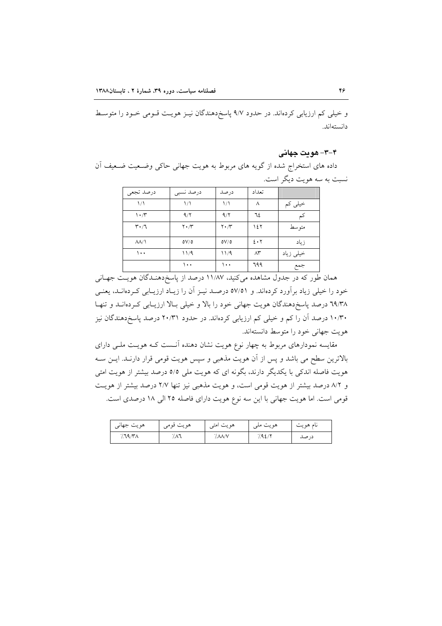و خیلی کم ارزیابی کردهاند. در حدود ۹/۷ پاسخدهندگان نیـز هویـت قـومی خـود را متوسـط دانستهاند.

۳-۴- هو ت جهانی

داده های استخراج شده از گویه های مربوط به هویت جهانی حاکی وضعیت ضعیف آن نسبت به سه هويت ديگر است.

| درصد تجعى                       | درصد نسبى            | درصد                          | تعداد             |           |
|---------------------------------|----------------------|-------------------------------|-------------------|-----------|
| $\frac{1}{2}$                   | $\frac{1}{\sqrt{2}}$ | ۱۸                            |                   | خیلی کم   |
| $\mathcal{N} \cdot \mathcal{N}$ | 9/7                  | 9/7                           | ٦٤                |           |
| $\mathbf{r} \cdot \mathbf{r}$   | $Y \cdot / Y$        | $\mathbf{Y} \cdot \mathbf{X}$ | ۱٤٢               | متوسط     |
| $\Lambda\Lambda/\Lambda$        | oV/o                 | oV/o                          | $2 \cdot 7$       | زياد      |
| ۱۰۰                             | ۱۱/۹                 | 11/9                          | $\Lambda^{\star}$ | خیلی زیاد |
|                                 | $\cdots$             | ۱۰۰                           | 799               | جمع       |

همان طور که در جدول مشاهده میکنید، ۱۱/۸۷ درصد از پاسخدهنـدگان هویـت جهـانی خود را خیلی زیاد برآورد کردهاند. و ٥٧/٥١ درصـد نیـز آن را زیـاد ارزیـابی کـردهانـد، یعنـی ۳۹/۳۸ درصد پاسخ دهندگان هویت جهانی خود را بالا و خیلی بالا ارزیابی کردهاند و تنها ۱۰/۳۰ درصد آن را کم و خیلی کم ارزیابی کردهاند. در حدود ۲۰/۳۱ درصد پاسخ دهندگان نیز هويت جهاني خود را متوسط دانستهاند.

مقایسه نمودارهای مربوط به چهار نوع هویت نشان دهنده آنـست کـه هویـت ملـی دارای بالاترین سطح می باشد و پس از آن هویت مذهبی و سپس هویت قومی قرار دارنـد. ایــن ســه هویت فاصله اندکی با یکدیگر دارند، بگونه ای که هویت ملی ٥/٥ درصد بیشتر از هویت امتی و ٨/٢ درصد بيشتر از هويت قومي است، و هويت مذهبي نيز تنها ٢/٧ درصد بيشتر از هويت قومی است. اما هویت جهانی با این سه نوع هویت دارای فاصله ٢٥ الی ١٨ درصدی است.

| هويت جهاني | هويت قومي | هويت امتى | $\cdot$<br>هويت ملي | $\bullet$<br>نام هو پٽ<br>∼ |
|------------|-----------|-----------|---------------------|-----------------------------|
| $/$ ٦٩/٣٨  | ۸٦        | '/ ΛΛ/Υ   | 1.92/               | درصد                        |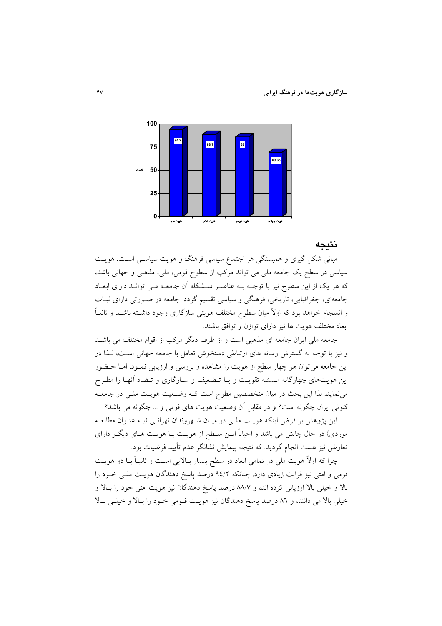

نتىحە

مبانی شکل گیری و همبستگی هر اجتماع سیاسی فرهنگ و هویت سیاســی اســت. هویــت سیاسی در سطح یک جامعه ملی می تواند مرکب از سطوح قومی، ملی، مذهبی و جهانی باشد، که هر یک از این سطوح نیز با توجـه بـه عناصـر متـشکله آن جامعـه مـی توانـد دارای ابعـاد جامعهای، جغرافیایی، تاریخی، فرهنگی و سیاسی تقسیم گردد. جامعه در صورتی دارای ثبات و انسجام خواهد بود که اولاً میان سطوح مختلف هویتی سازگاری وجود داشـته باشــد و ثانیــاً ابعاد مختلف هويت ها نيز داراي توازن و توافق باشند.

جامعه ملی ایران جامعه ای مذهبی است و از طرف دیگر مرکب از اقوام مختلف می باشـد و نیز با توجه به گسترش رسانه های ارتباطی دستخوش تعامل با جامعه جهانی است، لـذا در این جامعه میتوان هر چهار سطح از هویت را مشاهده و بررسی و ارزیابی نمـود. امـا حـضور این هویتهای چهارگانه مـسئله تقویـت و یـا تـضعیف و سـازگاری و تـضاد آنهـا را مطـرح می نماید. لذا این بحث در میان متخصصین مطرح است کـه وضـعیت هویـت ملـی در جامعـه کنونی ایران چگونه است؟ و در مقابل آن وضعیت هویت های قومی و … چگونه می باشد؟

این پژوهش بر فرض اینکه هویت ملـی در میـان شـهروندان تهرانـی (بـه عنـوان مطالعـه موردی) در حال چالش می باشد و احیاناً ایــن سـطح از هویــت بــا هویــت هــای دیگــر دارای تعارض نیز هست انجام گردید. که نتیجه پیمایش نشانگر عدم تأیید فرضیات بود.

چرا که اولاً هویت ملی در تمامی ابعاد در سطح بسیار بـالایی اسـت و ثانیـاً بـا دو هویـت قومی و امتی نیز قرابت زیادی دارد. چنانکه ۹٤/۲ درصد پاسخ دهندگان هویت ملـی خــود را بالا و خیلی بالا ارزیابی کرده اند، و ۸۸/۷ درصد پاسخ دهندگان نیز هویت امتی خود را بـالا و خیلی بالا می دانند، و ٨٦ درصد پاسخ دهندگان نیز هویت قـومی خـود را بـالا و خیلـی بـالا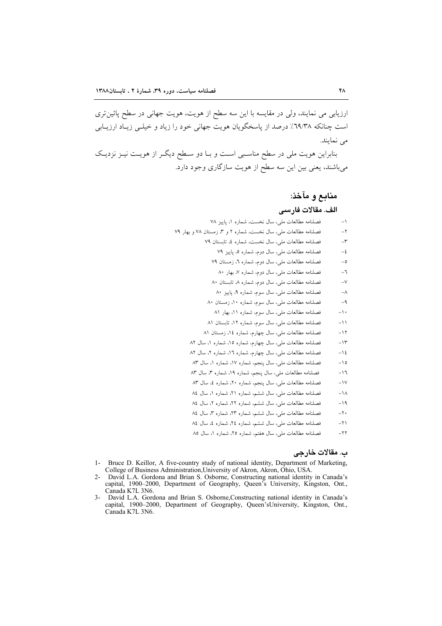ارزیابی می نمایند، ولی در مقایسه با این سه سطح از هویت، هویت جهانی در سطح پائین تری است چنانکه ٦٩/٣٨٪ درصد از پاسخگویان هویت جهانی خود را زیاد و خیلــی زیــاد ارزیــابـی می نمایند.

بنابراین هویت ملی در سطح مناسبی است و بـا دو سـطح دیگـر از هویـت نیـز نزدیـک میباشند، یعنی بین این سه سطح از هویت سازگاری وجود دارد.

# منابع و مآخذ:

# الف. مقالات فارسى

| فصلنامه مطالعات ملی، سال نخست، شماره ۱، پاییز ۷۸                | $\mathord{\hspace{1pt}\text{--}\hspace{1pt}}$ |
|-----------------------------------------------------------------|-----------------------------------------------|
| فصلنامه مطالعات ملي، سال نخست، شماره ۲ و ۳، زمستان ۷۸ و بهار ۷۹ | $-\Upsilon$                                   |
| فصلنامه مطالعات ملي، سال نخست، شماره ٤، تابستان ٧٩              | $-\mathsf{r}$                                 |
| فصلنامه مطالعات ملي، سال دوم، شماره ٥، پاييز ٧٩                 | $-\xi$                                        |
| فصلنامه مطالعات ملي، سال دوم، شماره ٦، زمستان ٧٩                | -0                                            |
| فصلنامه مطالعات ملي، سال دوم، شماره ٧، بهار ٨٠                  | -٦                                            |
| فصلنامه مطالعات ملي، سال دوم، شماره ۸۰ تابستان ۸۰               | $-\vee$                                       |
| فصلنامه مطالعات ملي، سال سوم، شماره ۹، پاييز ۸۰                 | $-\wedge$                                     |
| فصلنامه مطالعات ملي، سال سوم، شماره ۱۰، زمستان ۸۰               | $-9$                                          |
| فصلنامه مطالعات ملي، سال سوم، شماره ١١، بهار ٨١                 | $\rightarrow$ .                               |
| فصلنامه مطالعات ملي، سال سوم، شماره ١٢، تابستان ٨١              | $-11$                                         |
| فصلنامه مطالعات ملي، سال چهارم، شماره ١٤، زمستان ٨١             | ۱۲ –                                          |
| فصلنامه مطالعات ملی، سال چهارم، شماره ۱۵، شماره ۱، سال ۸۲       | ۱۳                                            |
| فصلنامه مطالعات ملی، سال چهارم، شماره ۱٦، شماره ۲، سال ۸۲       | $-12$                                         |
| فصلنامه مطالعات ملی، سال پنجم، شماره ۱۷، شماره ۱، سال ۸۳        | $-10$                                         |
| فصلنامه مطالعات ملي، سال پنجم، شماره ١٩، شماره ٣، سال ٨٣        | $-17$                                         |
| فصلنامه مطالعات ملي، سال پنجم، شماره ۲۰، شماره ٤، سال ۸۳        | $-1V$                                         |
| فصلنامه مطالعات ملي، سال ششم، شماره ۲۱، شماره ۱، سال ۸٤         | $-1\Lambda$                                   |
| فصلنامه مطالعات ملی، سال ششم، شماره ۲۲، شماره ۲، سال ۸٤         | ۱۹ -                                          |
| فصلنامه مطالعات ملي، سال ششم، شماره ۲۳، شماره ۳، سال ۸٤         | $-\mathbf{y}$                                 |
| فصلنامه مطالعات ملی، سال ششم، شماره ۲٤، شماره ٤، سال ٨٤         | 7۱ -                                          |

فصلنامه مطالعات ملي، سال هفتم، شماره ٢٥، شماره ١، سال ٨٥  $-11$ 

#### ب. مقالات خارجي

- 1- Bruce D. Keillor, A five-country study of national identity, Department of Marketing, College of Business Administration, University of Akron, Akron, Ohio, USA.
- 2- David L.A. Gordona and Brian S. Osborne, Constructing national identity in Canada's capital, 1900-2000, Department of Geography, Queen's University, Kingston, Ont., Canada K7L 3N6.
- 3- David L.A. Gordona and Brian S. Osborne, Constructing national identity in Canada's capital, 1900–2000, Department of Geography, Queen'sUniversity, Kingston, Ont., Canada K7L 3N6.